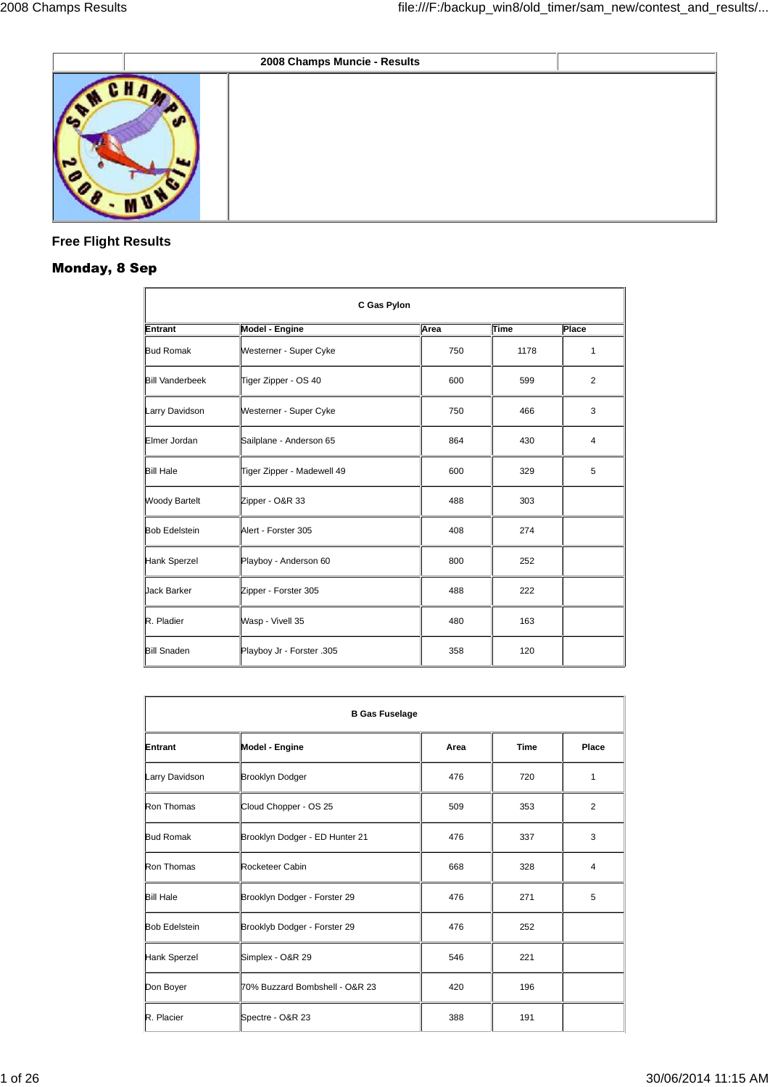|      | 2008 Champs Muncie - Results |  |
|------|------------------------------|--|
| MCHA |                              |  |

# **Free Flight Results**

# **Monday, 8 Sep**

| C Gas Pylon            |                            |      |      |                |
|------------------------|----------------------------|------|------|----------------|
| Entrant                | Model - Engine             | Area | Time | Place          |
| <b>Bud Romak</b>       | Westerner - Super Cyke     | 750  | 1178 | 1              |
| <b>Bill Vanderbeek</b> | Tiger Zipper - OS 40       | 600  | 599  | $\overline{2}$ |
| Larry Davidson         | Westerner - Super Cyke     | 750  | 466  | 3              |
| Elmer Jordan           | Sailplane - Anderson 65    | 864  | 430  | 4              |
| <b>Bill Hale</b>       | Tiger Zipper - Madewell 49 | 600  | 329  | 5              |
| <b>Woody Bartelt</b>   | Zipper - O&R 33            | 488  | 303  |                |
| <b>Bob Edelstein</b>   | Alert - Forster 305        | 408  | 274  |                |
| Hank Sperzel           | Playboy - Anderson 60      | 800  | 252  |                |
| <b>Jack Barker</b>     | Zipper - Forster 305       | 488  | 222  |                |
| R. Pladier             | Wasp - Vivell 35           | 480  | 163  |                |
| <b>Bill Snaden</b>     | Playboy Jr - Forster .305  | 358  | 120  |                |

| <b>B Gas Fuselage</b> |                                |      |             |       |  |
|-----------------------|--------------------------------|------|-------------|-------|--|
| Entrant               | <b>Model - Engine</b>          | Area | <b>Time</b> | Place |  |
| Larry Davidson        | <b>Brooklyn Dodger</b>         | 476  | 720         | 1     |  |
| Ron Thomas            | Cloud Chopper - OS 25          | 509  | 353         | 2     |  |
| <b>Bud Romak</b>      | Brooklyn Dodger - ED Hunter 21 | 476  | 337         | 3     |  |
| Ron Thomas            | Rocketeer Cabin                | 668  | 328         | 4     |  |
| <b>Bill Hale</b>      | Brooklyn Dodger - Forster 29   | 476  | 271         | 5     |  |
| <b>Bob Edelstein</b>  | Brooklyb Dodger - Forster 29   | 476  | 252         |       |  |
| Hank Sperzel          | Simplex - O&R 29               | 546  | 221         |       |  |
| Don Boyer             | 70% Buzzard Bombshell - O&R 23 | 420  | 196         |       |  |
| R. Placier            | Spectre - O&R 23               | 388  | 191         |       |  |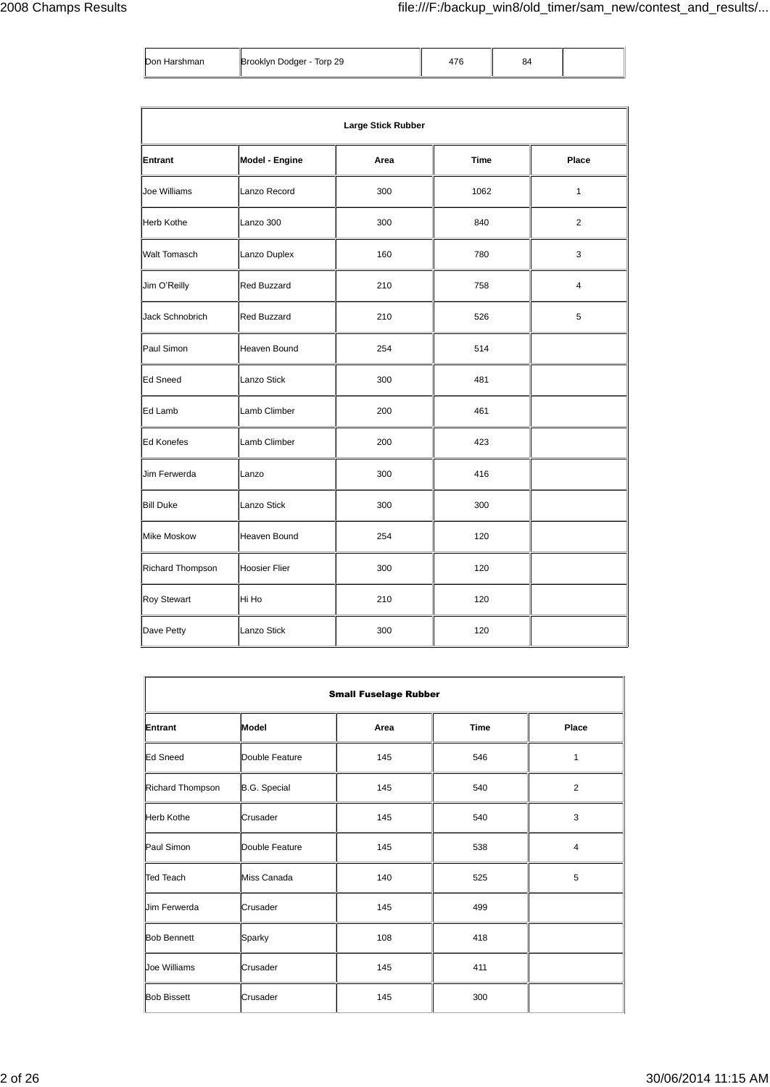| Don Harshman | Brooklyn Dodger - Torp 29 | 17C | 54 |  |
|--------------|---------------------------|-----|----|--|
|--------------|---------------------------|-----|----|--|

|                    |                      | <b>Large Stick Rubber</b> |             |                |
|--------------------|----------------------|---------------------------|-------------|----------------|
| <b>Entrant</b>     | Model - Engine       | Area                      | <b>Time</b> | Place          |
| Joe Williams       | Lanzo Record         | 300                       | 1062        | $\mathbf{1}$   |
| <b>Herb Kothe</b>  | Lanzo 300            | 300                       | 840         | $\overline{2}$ |
| Walt Tomasch       | Lanzo Duplex         | 160                       | 780         | 3              |
| Jim O'Reilly       | <b>Red Buzzard</b>   | 210                       | 758         | $\overline{4}$ |
| Jack Schnobrich    | <b>Red Buzzard</b>   | 210                       | 526         | 5              |
| Paul Simon         | Heaven Bound         | 254                       | 514         |                |
| <b>Ed Sneed</b>    | Lanzo Stick          | 300                       | 481         |                |
| Ed Lamb            | Lamb Climber         | 200                       | 461         |                |
| <b>Ed Konefes</b>  | Lamb Climber         | 200                       | 423         |                |
| Jim Ferwerda       | Lanzo                | 300                       | 416         |                |
| <b>Bill Duke</b>   | Lanzo Stick          | 300                       | 300         |                |
| <b>Mike Moskow</b> | Heaven Bound         | 254                       | 120         |                |
| Richard Thompson   | <b>Hoosier Flier</b> | 300                       | 120         |                |
| <b>Roy Stewart</b> | Hi Ho                | 210                       | 120         |                |
| Dave Petty         | Lanzo Stick          | 300                       | 120         |                |

| <b>Small Fuselage Rubber</b> |                     |      |             |                |
|------------------------------|---------------------|------|-------------|----------------|
| Entrant                      | Model               | Area | <b>Time</b> | Place          |
| Ed Sneed                     | Double Feature      | 145  | 546         | 1              |
| Richard Thompson             | <b>B.G.</b> Special | 145  | 540         | $\overline{2}$ |
| Herb Kothe                   | Crusader            | 145  | 540         | 3              |
| Paul Simon                   | Double Feature      | 145  | 538         | $\overline{4}$ |
| Ted Teach                    | Miss Canada         | 140  | 525         | 5              |
| <b>Jim Ferwerda</b>          | Crusader            | 145  | 499         |                |
| <b>Bob Bennett</b>           | Sparky              | 108  | 418         |                |
| Joe Williams                 | Crusader            | 145  | 411         |                |
| <b>Bob Bissett</b>           | Crusader            | 145  | 300         |                |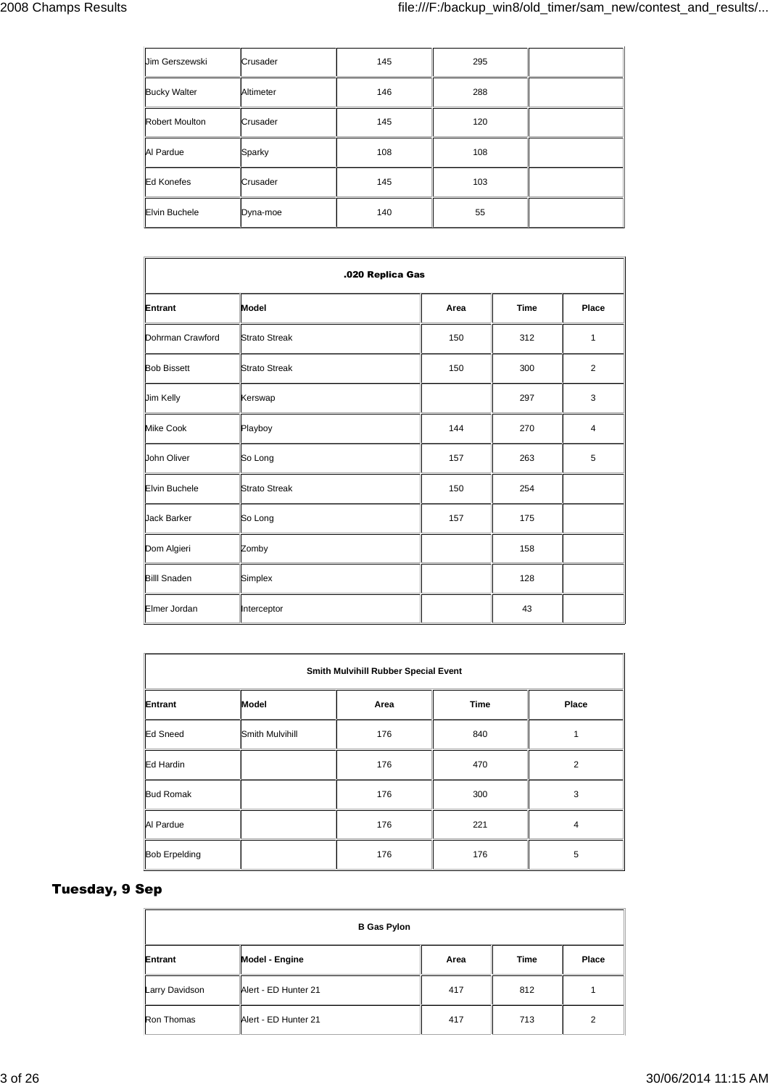| <b>Jim Gerszewski</b> | Crusader  | 145 | 295 |  |
|-----------------------|-----------|-----|-----|--|
| <b>Bucky Walter</b>   | Altimeter | 146 | 288 |  |
| <b>Robert Moulton</b> | Crusader  | 145 | 120 |  |
| Al Pardue             | Sparky    | 108 | 108 |  |
| Ed Konefes            | Crusader  | 145 | 103 |  |
| <b>Elvin Buchele</b>  | Dyna-moe  | 140 | 55  |  |

| .020 Replica Gas     |                      |      |             |                |
|----------------------|----------------------|------|-------------|----------------|
| Entrant              | Model                | Area | <b>Time</b> | Place          |
| Dohrman Crawford     | <b>Strato Streak</b> | 150  | 312         | 1              |
| <b>Bob Bissett</b>   | <b>Strato Streak</b> | 150  | 300         | $\overline{2}$ |
| Jim Kelly            | Kerswap              |      | 297         | 3              |
| <b>Mike Cook</b>     | Playboy              | 144  | 270         | 4              |
| John Oliver          | So Long              | 157  | 263         | 5              |
| <b>Elvin Buchele</b> | <b>Strato Streak</b> | 150  | 254         |                |
| <b>Jack Barker</b>   | So Long              | 157  | 175         |                |
| Dom Algieri          | Zomby                |      | 158         |                |
| <b>Billl Snaden</b>  | Simplex              |      | 128         |                |
| Elmer Jordan         | Interceptor          |      | 43          |                |

|                      | Smith Mulvihill Rubber Special Event |      |             |                |  |
|----------------------|--------------------------------------|------|-------------|----------------|--|
| Entrant              | Model                                | Area | <b>Time</b> | Place          |  |
| Ed Sneed             | Smith Mulvihill                      | 176  | 840         | 1              |  |
| Ed Hardin            |                                      | 176  | 470         | $\overline{2}$ |  |
| <b>Bud Romak</b>     |                                      | 176  | 300         | 3              |  |
| Al Pardue            |                                      | 176  | 221         | 4              |  |
| <b>Bob Erpelding</b> |                                      | 176  | 176         | 5              |  |

# **Tuesday, 9 Sep**

| <b>B Gas Pylon</b> |                      |      |      |       |
|--------------------|----------------------|------|------|-------|
| Entrant            | Model - Engine       | Area | Time | Place |
| Larry Davidson     | Alert - ED Hunter 21 | 417  | 812  |       |
| Ron Thomas         | Alert - ED Hunter 21 | 417  | 713  | 2     |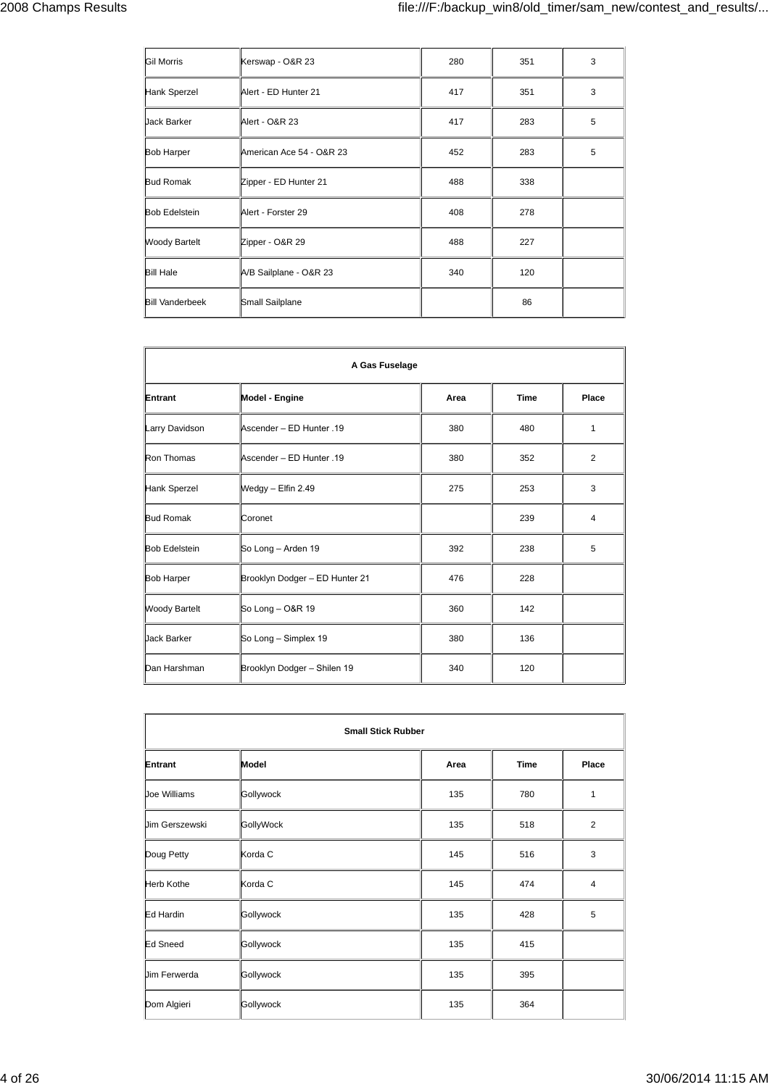| <b>Gil Morris</b>      | Kerswap - O&R 23         | 280 | 351 | 3 |
|------------------------|--------------------------|-----|-----|---|
| Hank Sperzel           | Alert - ED Hunter 21     | 417 | 351 | 3 |
| <b>Jack Barker</b>     | Alert - O&R 23           | 417 | 283 | 5 |
| <b>Bob Harper</b>      | American Ace 54 - O&R 23 | 452 | 283 | 5 |
| <b>Bud Romak</b>       | Zipper - ED Hunter 21    | 488 | 338 |   |
| <b>Bob Edelstein</b>   | Alert - Forster 29       | 408 | 278 |   |
| <b>Woody Bartelt</b>   | Zipper - O&R 29          | 488 | 227 |   |
| <b>Bill Hale</b>       | A/B Sailplane - O&R 23   | 340 | 120 |   |
| <b>Bill Vanderbeek</b> | Small Sailplane          |     | 86  |   |

| A Gas Fuselage       |                                |      |             |                |
|----------------------|--------------------------------|------|-------------|----------------|
| Entrant              | Model - Engine                 | Area | <b>Time</b> | Place          |
| Larry Davidson       | Ascender - ED Hunter .19       | 380  | 480         | 1              |
| Ron Thomas           | Ascender - ED Hunter .19       | 380  | 352         | $\overline{2}$ |
| Hank Sperzel         | Wedgy - Elfin 2.49             | 275  | 253         | 3              |
| <b>Bud Romak</b>     | Coronet                        |      | 239         | $\overline{4}$ |
| <b>Bob Edelstein</b> | So Long - Arden 19             | 392  | 238         | 5              |
| <b>Bob Harper</b>    | Brooklyn Dodger - ED Hunter 21 | 476  | 228         |                |
| <b>Woody Bartelt</b> | So Long - O&R 19               | 360  | 142         |                |
| <b>Jack Barker</b>   | So Long - Simplex 19           | 380  | 136         |                |
| Dan Harshman         | Brooklyn Dodger - Shilen 19    | 340  | 120         |                |

| <b>Small Stick Rubber</b> |           |      |             |                |
|---------------------------|-----------|------|-------------|----------------|
| Entrant                   | Model     | Area | <b>Time</b> | Place          |
| Joe Williams              | Gollywock | 135  | 780         | 1              |
| <b>Jim Gerszewski</b>     | GollyWock | 135  | 518         | 2              |
| Doug Petty                | Korda C   | 145  | 516         | 3              |
| Herb Kothe                | Korda C   | 145  | 474         | $\overline{4}$ |
| Ed Hardin                 | Gollywock | 135  | 428         | 5              |
| Ed Sneed                  | Gollywock | 135  | 415         |                |
| <b>Jim Ferwerda</b>       | Gollywock | 135  | 395         |                |
| Dom Algieri               | Gollywock | 135  | 364         |                |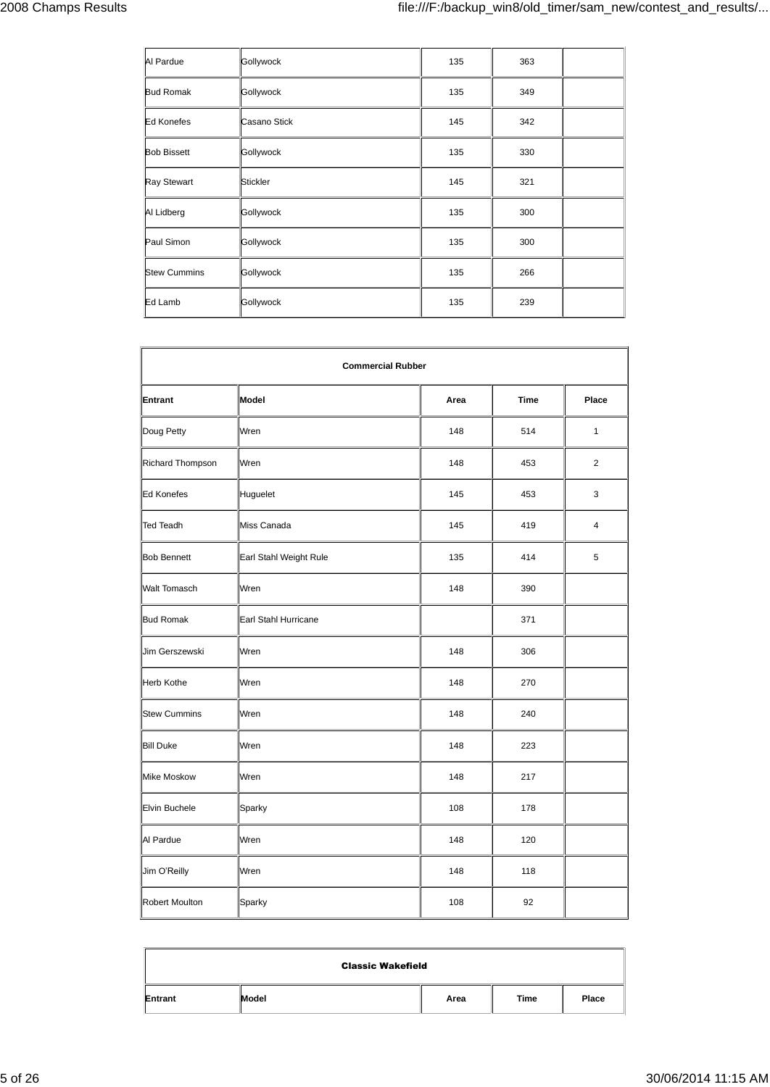| Al Pardue           | Gollywock    | 135 | 363 |  |
|---------------------|--------------|-----|-----|--|
| <b>Bud Romak</b>    | Gollywock    | 135 | 349 |  |
| Ed Konefes          | Casano Stick | 145 | 342 |  |
| <b>Bob Bissett</b>  | Gollywock    | 135 | 330 |  |
| Ray Stewart         | Stickler     | 145 | 321 |  |
| Al Lidberg          | Gollywock    | 135 | 300 |  |
| Paul Simon          | Gollywock    | 135 | 300 |  |
| <b>Stew Cummins</b> | Gollywock    | 135 | 266 |  |
| Ed Lamb             | Gollywock    | 135 | 239 |  |

| <b>Commercial Rubber</b> |                        |      |      |                |
|--------------------------|------------------------|------|------|----------------|
| Entrant                  | Model                  | Area | Time | Place          |
| Doug Petty               | Wren                   | 148  | 514  | $\mathbf{1}$   |
| Richard Thompson         | Wren                   | 148  | 453  | $\overline{2}$ |
| <b>Ed Konefes</b>        | Huguelet               | 145  | 453  | 3              |
| <b>Ted Teadh</b>         | Miss Canada            | 145  | 419  | $\overline{4}$ |
| <b>Bob Bennett</b>       | Earl Stahl Weight Rule | 135  | 414  | 5              |
| <b>Walt Tomasch</b>      | Wren                   | 148  | 390  |                |
| <b>Bud Romak</b>         | Earl Stahl Hurricane   |      | 371  |                |
| Jim Gerszewski           | Wren                   | 148  | 306  |                |
| <b>Herb Kothe</b>        | Wren                   | 148  | 270  |                |
| <b>Stew Cummins</b>      | Wren                   | 148  | 240  |                |
| <b>Bill Duke</b>         | Wren                   | 148  | 223  |                |
| Mike Moskow              | Wren                   | 148  | 217  |                |
| Elvin Buchele            | Sparky                 | 108  | 178  |                |
| Al Pardue                | Wren                   | 148  | 120  |                |
| Jim O'Reilly             | Wren                   | 148  | 118  |                |
| <b>Robert Moulton</b>    | Sparky                 | 108  | 92   |                |

| <b>Classic Wakefield</b> |       |      |      |       |
|--------------------------|-------|------|------|-------|
| Entrant                  | Model | Area | Time | Place |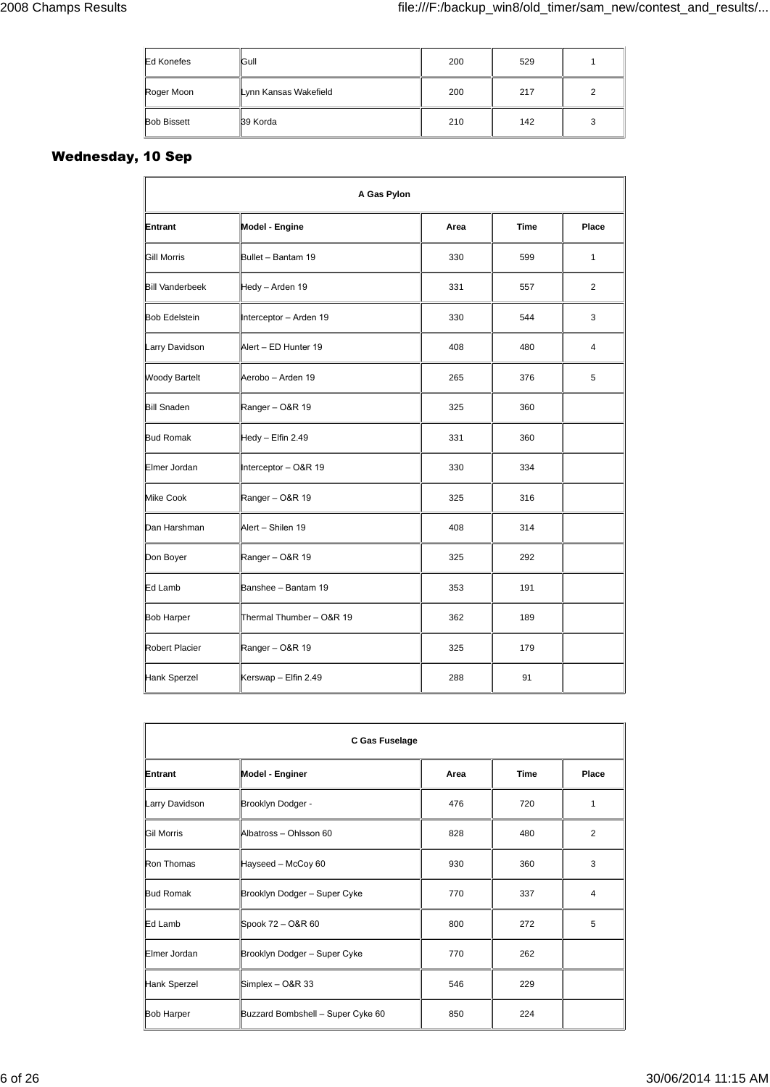| <b>Ed Konefes</b>  | Gull                  | 200 | 529 |    |
|--------------------|-----------------------|-----|-----|----|
| Roger Moon         | Lynn Kansas Wakefield | 200 | 217 | ◠  |
| <b>Bob Bissett</b> | 39 Korda              | 210 | 142 | ٠J |

## **Wednesday, 10 Sep**

| A Gas Pylon            |                          |      |             |       |
|------------------------|--------------------------|------|-------------|-------|
| Entrant                | Model - Engine           | Area | <b>Time</b> | Place |
| <b>Gill Morris</b>     | Bullet - Bantam 19       | 330  | 599         | 1     |
| <b>Bill Vanderbeek</b> | Hedy - Arden 19          | 331  | 557         | 2     |
| <b>Bob Edelstein</b>   | Interceptor - Arden 19   | 330  | 544         | 3     |
| Larry Davidson         | Alert - ED Hunter 19     | 408  | 480         | 4     |
| <b>Woody Bartelt</b>   | Aerobo - Arden 19        | 265  | 376         | 5     |
| <b>Bill Snaden</b>     | Ranger-O&R 19            | 325  | 360         |       |
| <b>Bud Romak</b>       | Hedy - Elfin 2.49        | 331  | 360         |       |
| Elmer Jordan           | Interceptor - O&R 19     | 330  | 334         |       |
| Mike Cook              | Ranger-O&R 19            | 325  | 316         |       |
| Dan Harshman           | Alert - Shilen 19        | 408  | 314         |       |
| Don Boyer              | Ranger-O&R 19            | 325  | 292         |       |
| Ed Lamb                | Banshee - Bantam 19      | 353  | 191         |       |
| <b>Bob Harper</b>      | Thermal Thumber - O&R 19 | 362  | 189         |       |
| Robert Placier         | Ranger-O&R 19            | 325  | 179         |       |
| Hank Sperzel           | Kerswap - Elfin 2.49     | 288  | 91          |       |

| C Gas Fuselage    |                                   |      |             |                |
|-------------------|-----------------------------------|------|-------------|----------------|
| Entrant           | Model - Enginer                   | Area | <b>Time</b> | Place          |
| Larry Davidson    | Brooklyn Dodger -                 | 476  | 720         | 1              |
| <b>Gil Morris</b> | Albatross - Ohlsson 60            | 828  | 480         | $\overline{2}$ |
| Ron Thomas        | Hayseed - McCoy 60                | 930  | 360         | 3              |
| <b>Bud Romak</b>  | Brooklyn Dodger - Super Cyke      | 770  | 337         | 4              |
| Ed Lamb           | Spook 72 - O&R 60                 | 800  | 272         | 5              |
| Elmer Jordan      | Brooklyn Dodger - Super Cyke      | 770  | 262         |                |
| Hank Sperzel      | Simplex - O&R 33                  | 546  | 229         |                |
| <b>Bob Harper</b> | Buzzard Bombshell - Super Cyke 60 | 850  | 224         |                |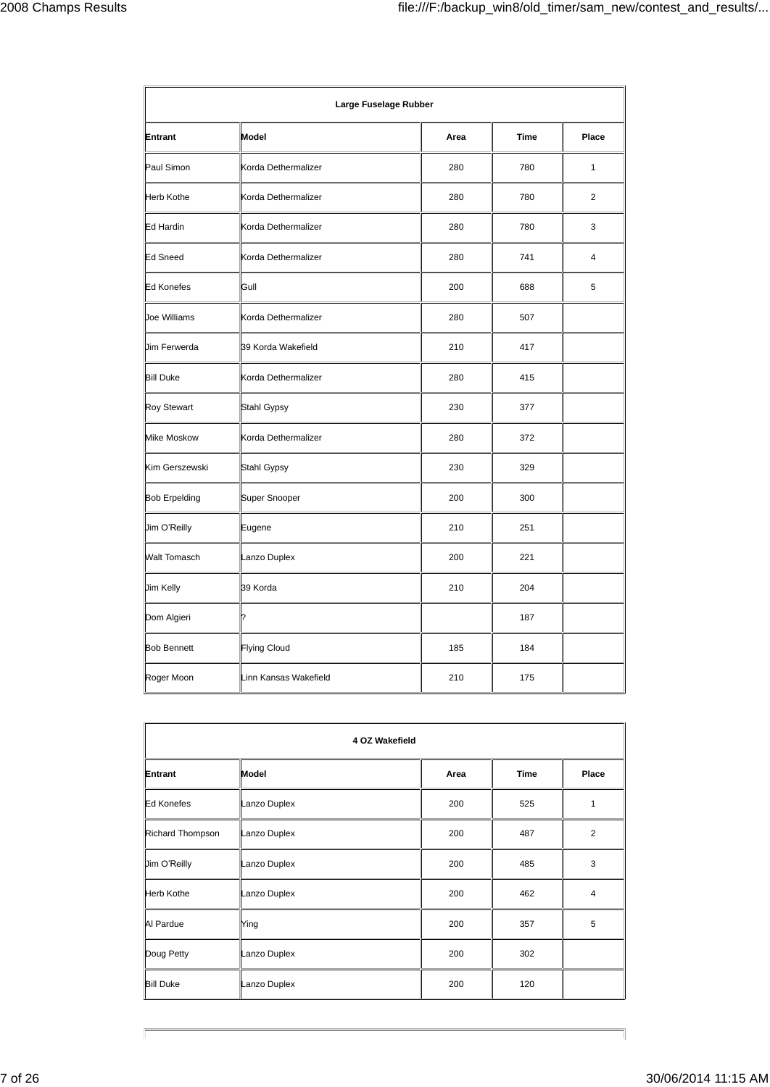| Entrant              | Model                 | Area | <b>Time</b> | Place          |
|----------------------|-----------------------|------|-------------|----------------|
| Paul Simon           | Korda Dethermalizer   | 280  | 780         | $\mathbf{1}$   |
| <b>Herb Kothe</b>    | Korda Dethermalizer   | 280  | 780         | $\overline{2}$ |
| Ed Hardin            | Korda Dethermalizer   | 280  | 780         | 3              |
| <b>Ed Sneed</b>      | Korda Dethermalizer   | 280  | 741         | $\overline{4}$ |
| <b>Ed Konefes</b>    | Gull                  | 200  | 688         | 5              |
| Joe Williams         | Korda Dethermalizer   | 280  | 507         |                |
| Jim Ferwerda         | 39 Korda Wakefield    | 210  | 417         |                |
| <b>Bill Duke</b>     | Korda Dethermalizer   | 280  | 415         |                |
| <b>Roy Stewart</b>   | Stahl Gypsy           | 230  | 377         |                |
| <b>Mike Moskow</b>   | Korda Dethermalizer   | 280  | 372         |                |
| Kim Gerszewski       | Stahl Gypsy           | 230  | 329         |                |
| <b>Bob Erpelding</b> | Super Snooper         | 200  | 300         |                |
| Jim O'Reilly         | Eugene                | 210  | 251         |                |
| <b>Walt Tomasch</b>  | Lanzo Duplex          | 200  | 221         |                |
| Jim Kelly            | 39 Korda              | 210  | 204         |                |
| Dom Algieri          | 7                     |      | 187         |                |
| <b>Bob Bennett</b>   | Flying Cloud          | 185  | 184         |                |
| Roger Moon           | Linn Kansas Wakefield | 210  | 175         |                |

| 4 OZ Wakefield    |              |      |             |                |
|-------------------|--------------|------|-------------|----------------|
| Entrant           | Model        | Area | <b>Time</b> | Place          |
| Ed Konefes        | Lanzo Duplex | 200  | 525         | 1              |
| Richard Thompson  | Lanzo Duplex | 200  | 487         | 2              |
| Jim O'Reilly      | Lanzo Duplex | 200  | 485         | 3              |
| <b>Herb Kothe</b> | Lanzo Duplex | 200  | 462         | $\overline{4}$ |
| Al Pardue         | Ying         | 200  | 357         | 5              |
| Doug Petty        | Lanzo Duplex | 200  | 302         |                |
| <b>Bill Duke</b>  | Lanzo Duplex | 200  | 120         |                |

 $\sqrt{\phantom{a}}$ 

 $\overline{\phantom{a}}$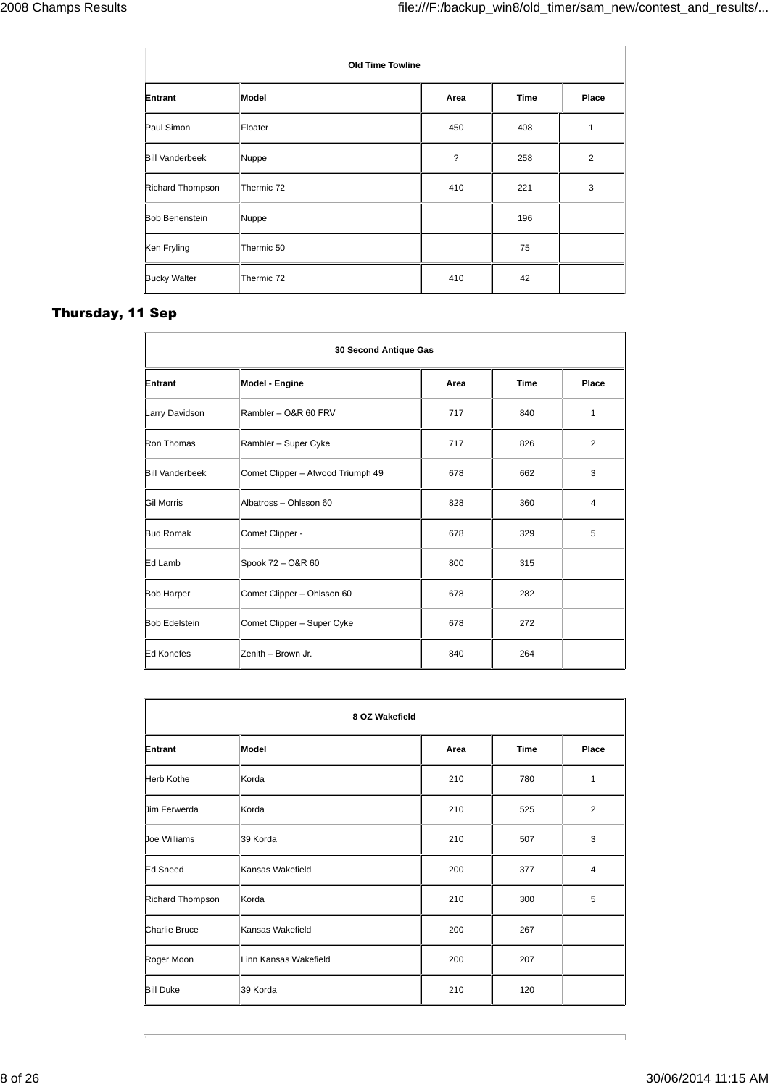| <b>Old Time Towline</b> |            |      |             |       |
|-------------------------|------------|------|-------------|-------|
| Entrant                 | Model      | Area | <b>Time</b> | Place |
| Paul Simon              | Floater    | 450  | 408         | 1     |
| <b>Bill Vanderbeek</b>  | Nuppe      | ?    | 258         | 2     |
| Richard Thompson        | Thermic 72 | 410  | 221         | 3     |
| <b>Bob Benenstein</b>   | Nuppe      |      | 196         |       |
| Ken Fryling             | Thermic 50 |      | 75          |       |
| <b>Bucky Walter</b>     | Thermic 72 | 410  | 42          |       |

## **Thursday, 11 Sep**

| 30 Second Antique Gas  |                                   |      |             |                |
|------------------------|-----------------------------------|------|-------------|----------------|
| Entrant                | Model - Engine                    | Area | <b>Time</b> | Place          |
| Larry Davidson         | Rambler - O&R 60 FRV              | 717  | 840         | 1              |
| Ron Thomas             | Rambler - Super Cyke              | 717  | 826         | $\overline{2}$ |
| <b>Bill Vanderbeek</b> | Comet Clipper - Atwood Triumph 49 | 678  | 662         | 3              |
| <b>Gil Morris</b>      | Albatross - Ohlsson 60            | 828  | 360         | 4              |
| <b>Bud Romak</b>       | Comet Clipper -                   | 678  | 329         | 5              |
| Ed Lamb                | Spook 72 - O&R 60                 | 800  | 315         |                |
| <b>Bob Harper</b>      | Comet Clipper - Ohlsson 60        | 678  | 282         |                |
| <b>Bob Edelstein</b>   | Comet Clipper - Super Cyke        | 678  | 272         |                |
| Ed Konefes             | Zenith - Brown Jr.                | 840  | 264         |                |

| 8 OZ Wakefield       |                       |      |             |                |
|----------------------|-----------------------|------|-------------|----------------|
| Entrant              | Model                 | Area | <b>Time</b> | Place          |
| <b>Herb Kothe</b>    | Korda                 | 210  | 780         | 1              |
| <b>Uim Ferwerda</b>  | Korda                 | 210  | 525         | 2              |
| Joe Williams         | 39 Korda              | 210  | 507         | 3              |
| Ed Sneed             | Kansas Wakefield      | 200  | 377         | $\overline{4}$ |
| Richard Thompson     | Korda                 | 210  | 300         | 5              |
| <b>Charlie Bruce</b> | Kansas Wakefield      | 200  | 267         |                |
| Roger Moon           | Linn Kansas Wakefield | 200  | 207         |                |
| <b>Bill Duke</b>     | 39 Korda              | 210  | 120         |                |

 $\overline{\mathbf{u}}$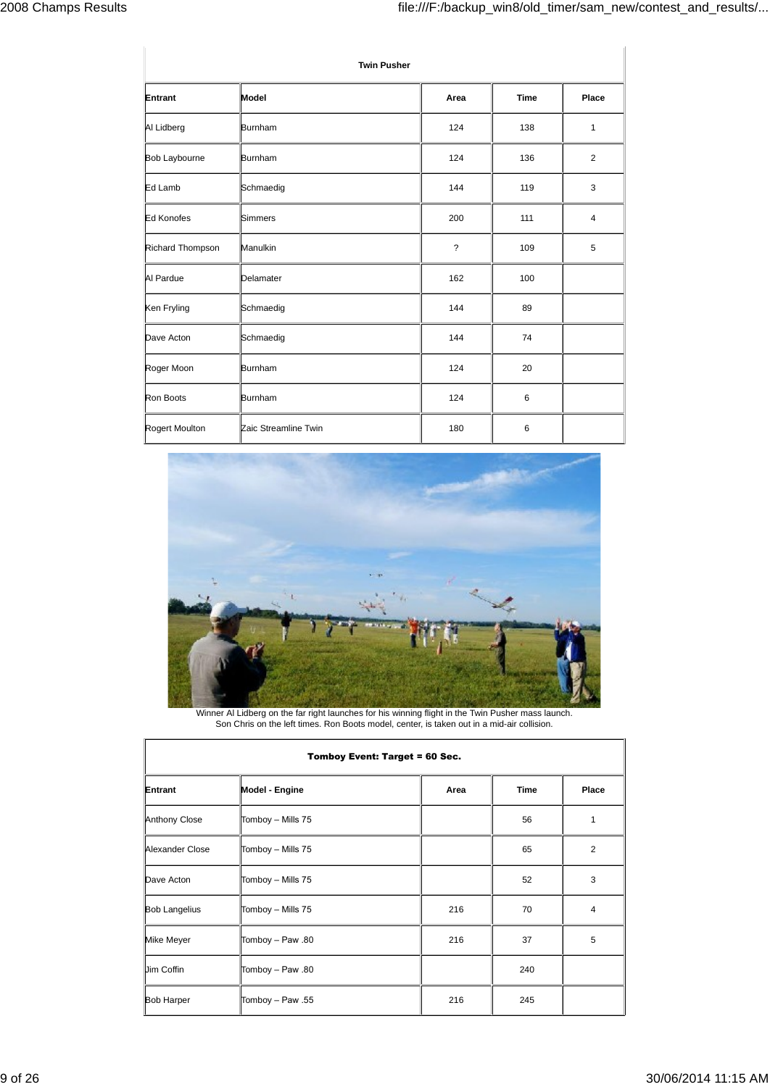| <b>Twin Pusher</b> |                      |                          |             |                |  |  |
|--------------------|----------------------|--------------------------|-------------|----------------|--|--|
| Entrant            | Model                | Area                     | <b>Time</b> | Place          |  |  |
| Al Lidberg         | <b>Burnham</b>       | 124                      | 138         | $\mathbf{1}$   |  |  |
| Bob Laybourne      | Burnham              | 124                      | 136         | 2              |  |  |
| Ed Lamb            | Schmaedig            | 144                      | 119         | 3              |  |  |
| Ed Konofes         | Simmers              | 200                      | 111         | $\overline{4}$ |  |  |
| Richard Thompson   | Manulkin             | $\overline{\phantom{a}}$ | 109         | 5              |  |  |
| Al Pardue          | Delamater            | 162                      | 100         |                |  |  |
| Ken Fryling        | Schmaedig            | 144                      | 89          |                |  |  |
| Dave Acton         | Schmaedig            | 144                      | 74          |                |  |  |
| Roger Moon         | Burnham              | 124                      | 20          |                |  |  |
| Ron Boots          | Burnham              | 124                      | 6           |                |  |  |
| Rogert Moulton     | Zaic Streamline Twin | 180                      | 6           |                |  |  |



Winner Al Lidberg on the far right launches for his winning flight in the Twin Pusher mass launch. Son Chris on the left times. Ron Boots model, center, is taken out in a mid-air collision.

| Tomboy Event: Target = 60 Sec. |                   |      |             |       |  |  |
|--------------------------------|-------------------|------|-------------|-------|--|--|
| Entrant                        | Model - Engine    | Area | <b>Time</b> | Place |  |  |
| Anthony Close                  | Tomboy - Mills 75 |      | 56          | 1     |  |  |
| Alexander Close                | Tomboy - Mills 75 |      | 65          | 2     |  |  |
| Dave Acton                     | Tomboy - Mills 75 |      | 52          | 3     |  |  |
| <b>Bob Langelius</b>           | Tomboy - Mills 75 | 216  | 70          | 4     |  |  |
| Mike Meyer                     | Tomboy - Paw .80  | 216  | 37          | 5     |  |  |
| Jim Coffin                     | Tomboy - Paw .80  |      | 240         |       |  |  |
| <b>Bob Harper</b>              | Tomboy - Paw .55  | 216  | 245         |       |  |  |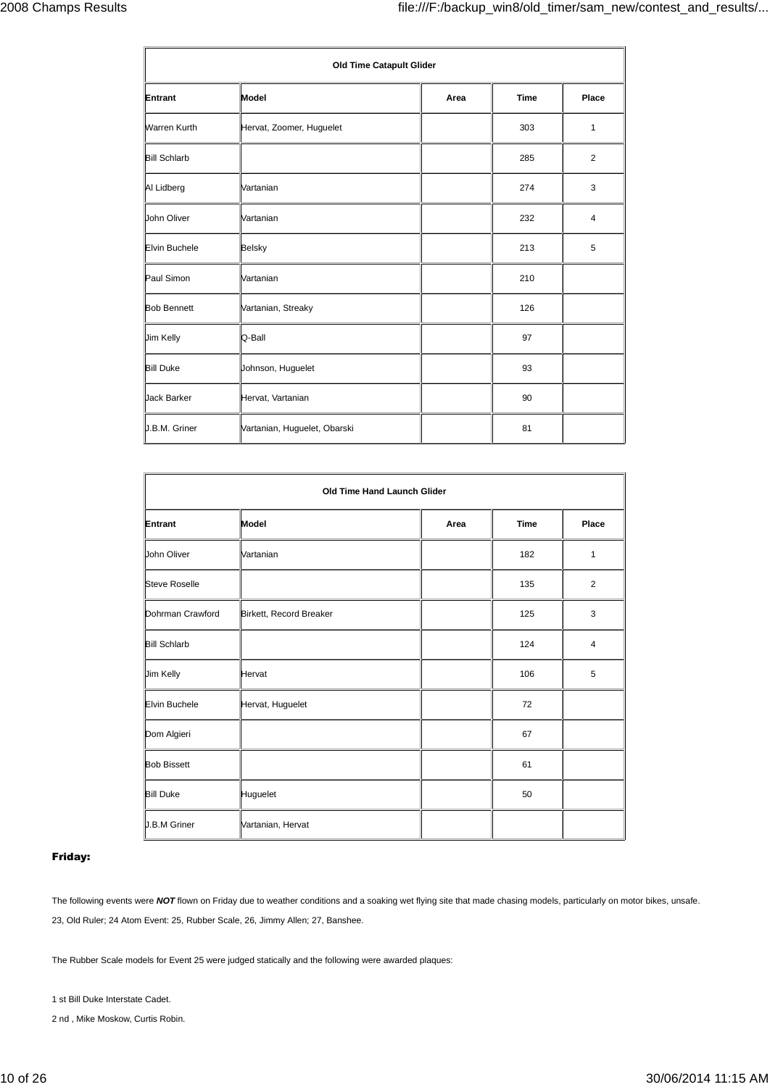| <b>Old Time Catapult Glider</b> |                              |      |             |              |  |  |
|---------------------------------|------------------------------|------|-------------|--------------|--|--|
| Entrant                         | Model                        | Area | <b>Time</b> | Place        |  |  |
| <b>Warren Kurth</b>             | Hervat, Zoomer, Huguelet     |      | 303         | $\mathbf{1}$ |  |  |
| <b>Bill Schlarb</b>             |                              |      | 285         | 2            |  |  |
| Al Lidberg                      | Vartanian                    |      | 274         | 3            |  |  |
| John Oliver                     | Vartanian                    |      | 232         | 4            |  |  |
| Elvin Buchele                   | Belsky                       |      | 213         | 5            |  |  |
| Paul Simon                      | Vartanian                    |      | 210         |              |  |  |
| <b>Bob Bennett</b>              | Vartanian, Streaky           |      | 126         |              |  |  |
| Jim Kelly                       | Q-Ball                       |      | 97          |              |  |  |
| <b>Bill Duke</b>                | Johnson, Huguelet            |      | 93          |              |  |  |
| Jack Barker                     | Hervat, Vartanian            |      | 90          |              |  |  |
| J.B.M. Griner                   | Vartanian, Huguelet, Obarski |      | 81          |              |  |  |

| Old Time Hand Launch Glider |                         |      |             |       |  |  |
|-----------------------------|-------------------------|------|-------------|-------|--|--|
| <b>Entrant</b>              | Model                   | Area | <b>Time</b> | Place |  |  |
| John Oliver                 | Vartanian               |      | 182         | 1     |  |  |
| <b>Steve Roselle</b>        |                         |      | 135         | 2     |  |  |
| Dohrman Crawford            | Birkett, Record Breaker |      | 125         | 3     |  |  |
| <b>Bill Schlarb</b>         |                         |      | 124         | 4     |  |  |
| Jim Kelly                   | Hervat                  |      | 106         | 5     |  |  |
| <b>Elvin Buchele</b>        | Hervat, Huguelet        |      | 72          |       |  |  |
| Dom Algieri                 |                         |      | 67          |       |  |  |
| <b>Bob Bissett</b>          |                         |      | 61          |       |  |  |
| <b>Bill Duke</b>            | Huguelet                |      | 50          |       |  |  |
| J.B.M Griner                | Vartanian, Hervat       |      |             |       |  |  |

#### **Friday:**

The following events were NOT flown on Friday due to weather conditions and a soaking wet flying site that made chasing models, particularly on motor bikes, unsafe. 23, Old Ruler; 24 Atom Event: 25, Rubber Scale, 26, Jimmy Allen; 27, Banshee.

The Rubber Scale models for Event 25 were judged statically and the following were awarded plaques:

1 st Bill Duke Interstate Cadet.

2 nd , Mike Moskow, Curtis Robin.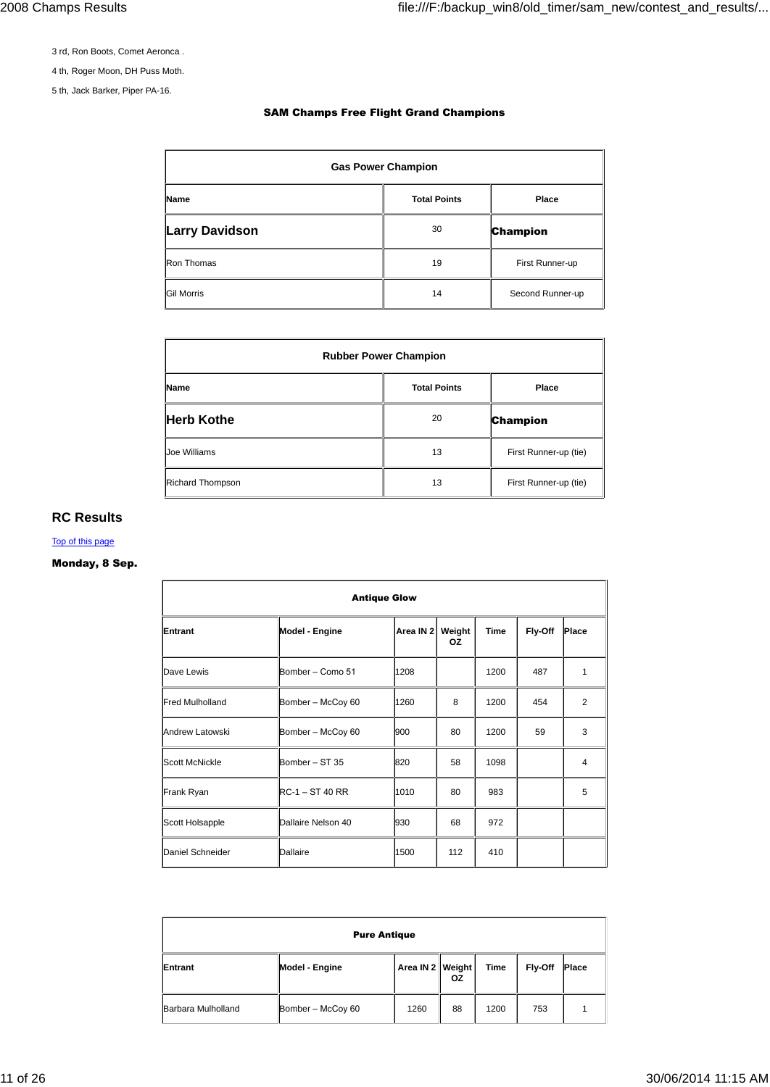3 rd, Ron Boots, Comet Aeronca .

4 th, Roger Moon, DH Puss Moth.

5 th, Jack Barker, Piper PA-16.

#### **SAM Champs Free Flight Grand Champions**

| <b>Gas Power Champion</b> |                     |                  |  |  |  |
|---------------------------|---------------------|------------------|--|--|--|
| <b>Name</b>               | <b>Total Points</b> | Place            |  |  |  |
| <b>Larry Davidson</b>     | 30                  | <b>Champion</b>  |  |  |  |
| Ron Thomas                | 19                  | First Runner-up  |  |  |  |
| <b>Gil Morris</b>         | 14                  | Second Runner-up |  |  |  |

| <b>Rubber Power Champion</b>         |    |                       |  |  |  |
|--------------------------------------|----|-----------------------|--|--|--|
| <b>Total Points</b><br>Place<br>Name |    |                       |  |  |  |
| <b>Herb Kothe</b>                    | 20 | <b>Champion</b>       |  |  |  |
| Joe Williams                         | 13 | First Runner-up (tie) |  |  |  |
| Richard Thompson                     | 13 | First Runner-up (tie) |  |  |  |

### **RC Results**

Top of this page

### **Monday, 8 Sep.**

| <b>Antique Glow</b>    |                    |           |              |             |         |       |
|------------------------|--------------------|-----------|--------------|-------------|---------|-------|
| Entrant                | Model - Engine     | Area IN 2 | Weight<br>ΟZ | <b>Time</b> | Fly-Off | Place |
| Dave Lewis             | Bomber - Como 51   | 1208      |              | 1200        | 487     | 1     |
| <b>Fred Mulholland</b> | Bomber - McCoy 60  | 1260      | 8            | 1200        | 454     | 2     |
| Andrew Latowski        | Bomber - McCoy 60  | 900       | 80           | 1200        | 59      | 3     |
| <b>Scott McNickle</b>  | Bomber - ST 35     | 820       | 58           | 1098        |         | 4     |
| Frank Ryan             | $RC-1 - ST 40 RR$  | 1010      | 80           | 983         |         | 5     |
| Scott Holsapple        | Dallaire Nelson 40 | 930       | 68           | 972         |         |       |
| Daniel Schneider       | Dallaire           | 1500      | 112          | 410         |         |       |

| <b>Pure Antique</b> |                   |                  |    |             |                |       |
|---------------------|-------------------|------------------|----|-------------|----------------|-------|
| Entrant             | Model - Engine    | Area IN 2 Weight | 0Z | <b>Time</b> | <b>Fly-Off</b> | Place |
| Barbara Mulholland  | Bomber - McCoy 60 | 1260             | 88 | 1200        | 753            |       |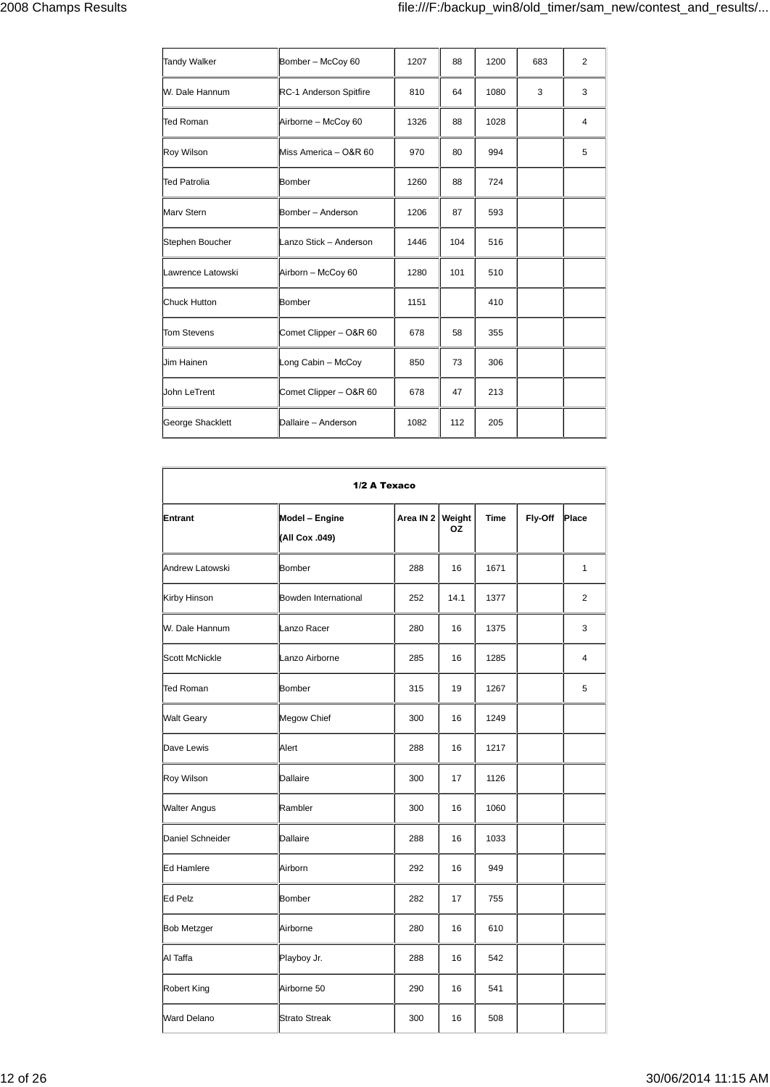| Bomber - McCoy 60      | 1207 | 88  | 1200 | 683 | 2 |
|------------------------|------|-----|------|-----|---|
| RC-1 Anderson Spitfire | 810  | 64  | 1080 | 3   | 3 |
| Airborne - McCoy 60    | 1326 | 88  | 1028 |     | 4 |
| Miss America - O&R 60  | 970  | 80  | 994  |     | 5 |
| Bomber                 | 1260 | 88  | 724  |     |   |
| Bomber - Anderson      | 1206 | 87  | 593  |     |   |
| Lanzo Stick - Anderson | 1446 | 104 | 516  |     |   |
| Airborn - McCoy 60     | 1280 | 101 | 510  |     |   |
| Bomber                 | 1151 |     | 410  |     |   |
| Comet Clipper - O&R 60 | 678  | 58  | 355  |     |   |
| Long Cabin - McCoy     | 850  | 73  | 306  |     |   |
| Comet Clipper - O&R 60 | 678  | 47  | 213  |     |   |
| Dallaire - Anderson    | 1082 | 112 | 205  |     |   |
|                        |      |     |      |     |   |

| 1/2 A Texaco          |                                  |           |                     |             |         |              |
|-----------------------|----------------------------------|-----------|---------------------|-------------|---------|--------------|
| Entrant               | Model - Engine<br>(All Cox .049) | Area IN 2 | Weight<br><b>OZ</b> | <b>Time</b> | Fly-Off | Place        |
| Andrew Latowski       | Bomber                           | 288       | 16                  | 1671        |         | $\mathbf{1}$ |
| Kirby Hinson          | Bowden International             | 252       | 14.1                | 1377        |         | 2            |
| W. Dale Hannum        | Lanzo Racer                      | 280       | 16                  | 1375        |         | 3            |
| <b>Scott McNickle</b> | Lanzo Airborne                   | 285       | 16                  | 1285        |         | 4            |
| <b>Ted Roman</b>      | Bomber                           | 315       | 19                  | 1267        |         | 5            |
| <b>Walt Geary</b>     | Megow Chief                      | 300       | 16                  | 1249        |         |              |
| Dave Lewis            | Alert                            | 288       | 16                  | 1217        |         |              |
| Roy Wilson            | Dallaire                         | 300       | 17                  | 1126        |         |              |
| <b>Walter Angus</b>   | Rambler                          | 300       | 16                  | 1060        |         |              |
| Daniel Schneider      | Dallaire                         | 288       | 16                  | 1033        |         |              |
| Ed Hamlere            | Airborn                          | 292       | 16                  | 949         |         |              |
| Ed Pelz               | Bomber                           | 282       | 17                  | 755         |         |              |
| <b>Bob Metzger</b>    | Airborne                         | 280       | 16                  | 610         |         |              |
| Al Taffa              | Playboy Jr.                      | 288       | 16                  | 542         |         |              |
| <b>Robert King</b>    | Airborne 50                      | 290       | 16                  | 541         |         |              |
| <b>Ward Delano</b>    | <b>Strato Streak</b>             | 300       | 16                  | 508         |         |              |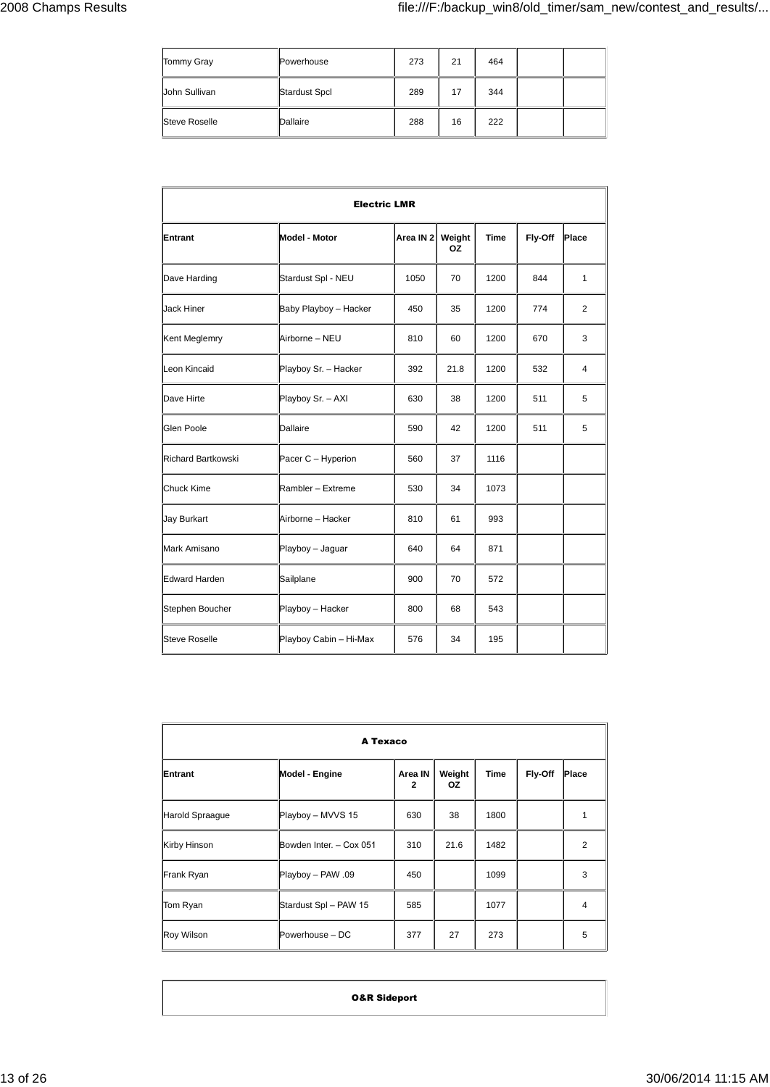| Tommy Gray           | Powerhouse           | 273 | 21 | 464 |  |
|----------------------|----------------------|-----|----|-----|--|
| John Sullivan        | <b>Stardust Spcl</b> | 289 | 17 | 344 |  |
| <b>Steve Roselle</b> | Dallaire             | 288 | 16 | 222 |  |

| <b>Electric LMR</b>       |                        |                      |              |             |         |       |
|---------------------------|------------------------|----------------------|--------------|-------------|---------|-------|
| Entrant                   | Model - Motor          | Area IN <sub>2</sub> | Weight<br>ΟZ | <b>Time</b> | Fly-Off | Place |
| Dave Harding              | Stardust Spl - NEU     | 1050                 | 70           | 1200        | 844     | 1     |
| <b>Jack Hiner</b>         | Baby Playboy - Hacker  | 450                  | 35           | 1200        | 774     | 2     |
| Kent Meglemry             | Airborne - NEU         | 810                  | 60           | 1200        | 670     | 3     |
| Leon Kincaid              | Playboy Sr. - Hacker   | 392                  | 21.8         | 1200        | 532     | 4     |
| Dave Hirte                | Playboy Sr. - AXI      | 630                  | 38           | 1200        | 511     | 5     |
| Glen Poole                | <b>Dallaire</b>        | 590                  | 42           | 1200        | 511     | 5     |
| <b>Richard Bartkowski</b> | Pacer C - Hyperion     | 560                  | 37           | 1116        |         |       |
| <b>Chuck Kime</b>         | Rambler - Extreme      | 530                  | 34           | 1073        |         |       |
| <b>Jay Burkart</b>        | Airborne - Hacker      | 810                  | 61           | 993         |         |       |
| Mark Amisano              | Playboy - Jaguar       | 640                  | 64           | 871         |         |       |
| <b>Edward Harden</b>      | Sailplane              | 900                  | 70           | 572         |         |       |
| Stephen Boucher           | Playboy - Hacker       | 800                  | 68           | 543         |         |       |
| <b>Steve Roselle</b>      | Playboy Cabin - Hi-Max | 576                  | 34           | 195         |         |       |

| A Texaco          |                         |                           |               |      |         |                |  |
|-------------------|-------------------------|---------------------------|---------------|------|---------|----------------|--|
| Entrant           | Model - Engine          | Area IN<br>$\overline{2}$ | Weight<br>OZ. | Time | Fly-Off | Place          |  |
| Harold Spraague   | Playboy - MVVS 15       | 630                       | 38            | 1800 |         | 1              |  |
| Kirby Hinson      | Bowden Inter. - Cox 051 | 310                       | 21.6          | 1482 |         | $\overline{2}$ |  |
| Frank Ryan        | Playboy - PAW .09       | 450                       |               | 1099 |         | 3              |  |
| Tom Ryan          | Stardust Spl - PAW 15   | 585                       |               | 1077 |         | 4              |  |
| <b>Roy Wilson</b> | Powerhouse - DC         | 377                       | 27            | 273  |         | 5              |  |

**O&R Sideport**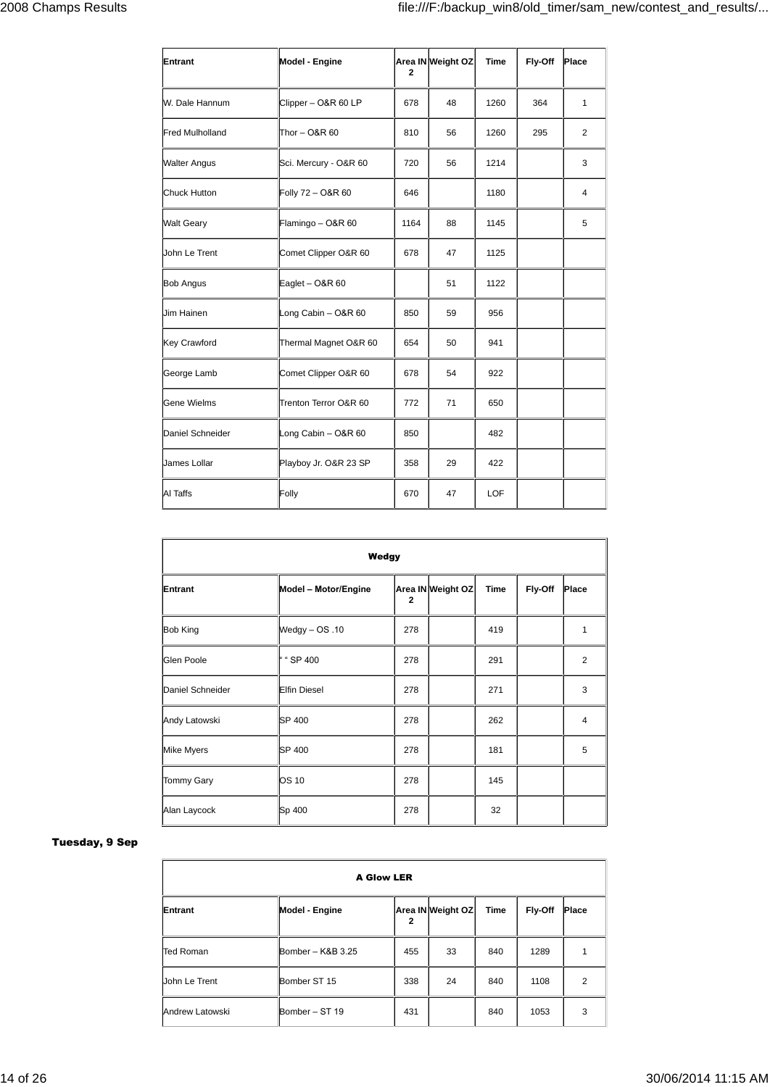| Entrant                | Model - Engine        | 2    | Area IN Weight OZ | Time | Fly-Off | Place |
|------------------------|-----------------------|------|-------------------|------|---------|-------|
| W. Dale Hannum         | Clipper - O&R 60 LP   | 678  | 48                | 1260 | 364     | 1     |
| <b>Fred Mulholland</b> | Thor - O&R 60         | 810  | 56                | 1260 | 295     | 2     |
| <b>Walter Angus</b>    | Sci. Mercury - O&R 60 | 720  | 56                | 1214 |         | 3     |
| Chuck Hutton           | Folly 72 - O&R 60     | 646  |                   | 1180 |         | 4     |
| <b>Walt Geary</b>      | Flamingo - O&R 60     | 1164 | 88                | 1145 |         | 5     |
| John Le Trent          | Comet Clipper O&R 60  | 678  | 47                | 1125 |         |       |
| <b>Bob Angus</b>       | Eaglet - $O&R 60$     |      | 51                | 1122 |         |       |
| Jim Hainen             | Long Cabin - O&R 60   | 850  | 59                | 956  |         |       |
| Key Crawford           | Thermal Magnet O&R 60 | 654  | 50                | 941  |         |       |
| George Lamb            | Comet Clipper O&R 60  | 678  | 54                | 922  |         |       |
| Gene Wielms            | Trenton Terror O&R 60 | 772  | 71                | 650  |         |       |
| Daniel Schneider       | Long Cabin - O&R 60   | 850  |                   | 482  |         |       |
| James Lollar           | Playboy Jr. O&R 23 SP | 358  | 29                | 422  |         |       |
| Al Taffs               | Folly                 | 670  | 47                | LOF  |         |       |

| Wedgy             |                      |                |                   |             |         |                |  |
|-------------------|----------------------|----------------|-------------------|-------------|---------|----------------|--|
| Entrant           | Model - Motor/Engine | $\overline{2}$ | Area IN Weight OZ | <b>Time</b> | Fly-Off | Place          |  |
| <b>Bob King</b>   | $W$ edgy $- OS .10$  | 278            |                   | 419         |         | 1              |  |
| Glen Poole        | " "SP 400            | 278            |                   | 291         |         | $\overline{2}$ |  |
| Daniel Schneider  | <b>Elfin Diesel</b>  | 278            |                   | 271         |         | 3              |  |
| Andy Latowski     | <b>SP 400</b>        | 278            |                   | 262         |         | 4              |  |
| Mike Myers        | <b>SP 400</b>        | 278            |                   | 181         |         | 5              |  |
| <b>Tommy Gary</b> | <b>OS 10</b>         | 278            |                   | 145         |         |                |  |
| Alan Laycock      | Sp 400               | 278            |                   | 32          |         |                |  |

#### **Tuesday, 9 Sep**

| <b>A Glow LER</b> |                       |              |                   |             |         |                |  |  |
|-------------------|-----------------------|--------------|-------------------|-------------|---------|----------------|--|--|
| Entrant           | <b>Model - Engine</b> | $\mathbf{2}$ | Area IN Weight OZ | <b>Time</b> | Fly-Off | Place          |  |  |
| <b>Ted Roman</b>  | Bomber - K&B 3.25     | 455          | 33                | 840         | 1289    | 1              |  |  |
| John Le Trent     | Bomber ST 15          | 338          | 24                | 840         | 1108    | $\overline{2}$ |  |  |
| Andrew Latowski   | Bomber - ST 19        | 431          |                   | 840         | 1053    | 3              |  |  |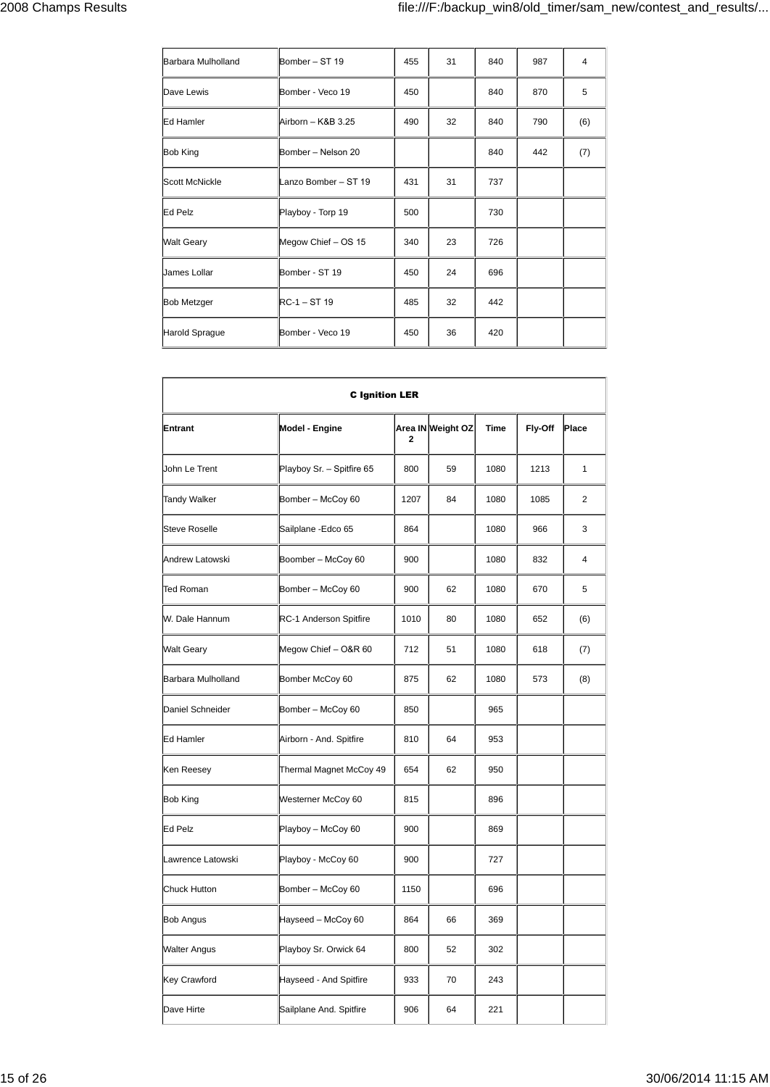| Barbara Mulholland | Bomber - ST 19       | 455 | 31 | 840 | 987 | $\overline{4}$ |
|--------------------|----------------------|-----|----|-----|-----|----------------|
| Dave Lewis         | Bomber - Veco 19     | 450 |    | 840 | 870 | 5              |
| Ed Hamler          | Airborn - K&B 3.25   | 490 | 32 | 840 | 790 | (6)            |
| <b>Bob King</b>    | Bomber - Nelson 20   |     |    | 840 | 442 | (7)            |
| Scott McNickle     | Lanzo Bomber - ST 19 | 431 | 31 | 737 |     |                |
| Ed Pelz            | Playboy - Torp 19    | 500 |    | 730 |     |                |
| <b>Walt Geary</b>  | Megow Chief - OS 15  | 340 | 23 | 726 |     |                |
| James Lollar       | Bomber - ST 19       | 450 | 24 | 696 |     |                |
| <b>Bob Metzger</b> | $RC-1 - ST19$        | 485 | 32 | 442 |     |                |
| Harold Sprague     | Bomber - Veco 19     | 450 | 36 | 420 |     |                |

| <b>C</b> Ignition LER                        |      |                   |             |         |              |  |  |  |  |
|----------------------------------------------|------|-------------------|-------------|---------|--------------|--|--|--|--|
| Entrant<br>Model - Engine                    | 2    | Area IN Weight OZ | <b>Time</b> | Fly-Off | Place        |  |  |  |  |
| Playboy Sr. - Spitfire 65<br>John Le Trent   | 800  | 59                | 1080        | 1213    | $\mathbf{1}$ |  |  |  |  |
| <b>Tandy Walker</b><br>Bomber - McCoy 60     | 1207 | 84                | 1080        | 1085    | 2            |  |  |  |  |
| <b>Steve Roselle</b><br>Sailplane - Edco 65  | 864  |                   | 1080        | 966     | 3            |  |  |  |  |
| Andrew Latowski<br>Boomber - McCoy 60        | 900  |                   | 1080        | 832     | 4            |  |  |  |  |
| Ted Roman<br>Bomber - McCoy 60               | 900  | 62                | 1080        | 670     | 5            |  |  |  |  |
| W. Dale Hannum<br>RC-1 Anderson Spitfire     | 1010 | 80                | 1080        | 652     | (6)          |  |  |  |  |
| <b>Walt Geary</b><br>Megow Chief - O&R 60    | 712  | 51                | 1080        | 618     | (7)          |  |  |  |  |
| Barbara Mulholland<br>Bomber McCoy 60        | 875  | 62                | 1080        | 573     | (8)          |  |  |  |  |
| Daniel Schneider<br>Bomber - McCoy 60        | 850  |                   | 965         |         |              |  |  |  |  |
| Ed Hamler<br>Airborn - And. Spitfire         | 810  | 64                | 953         |         |              |  |  |  |  |
| Ken Reesey<br>Thermal Magnet McCoy 49        | 654  | 62                | 950         |         |              |  |  |  |  |
| Bob King<br>Westerner McCoy 60               | 815  |                   | 896         |         |              |  |  |  |  |
| Ed Pelz<br>Playboy - McCoy 60                | 900  |                   | 869         |         |              |  |  |  |  |
| Playboy - McCoy 60<br>Lawrence Latowski      | 900  |                   | 727         |         |              |  |  |  |  |
| <b>Chuck Hutton</b><br>Bomber - McCoy 60     | 1150 |                   | 696         |         |              |  |  |  |  |
| Hayseed - McCoy 60<br><b>Bob Angus</b>       | 864  | 66                | 369         |         |              |  |  |  |  |
| <b>Walter Angus</b><br>Playboy Sr. Orwick 64 | 800  | 52                | 302         |         |              |  |  |  |  |
| Key Crawford<br>Hayseed - And Spitfire       | 933  | 70                | 243         |         |              |  |  |  |  |
| Sailplane And. Spitfire<br>Dave Hirte        | 906  | 64                | 221         |         |              |  |  |  |  |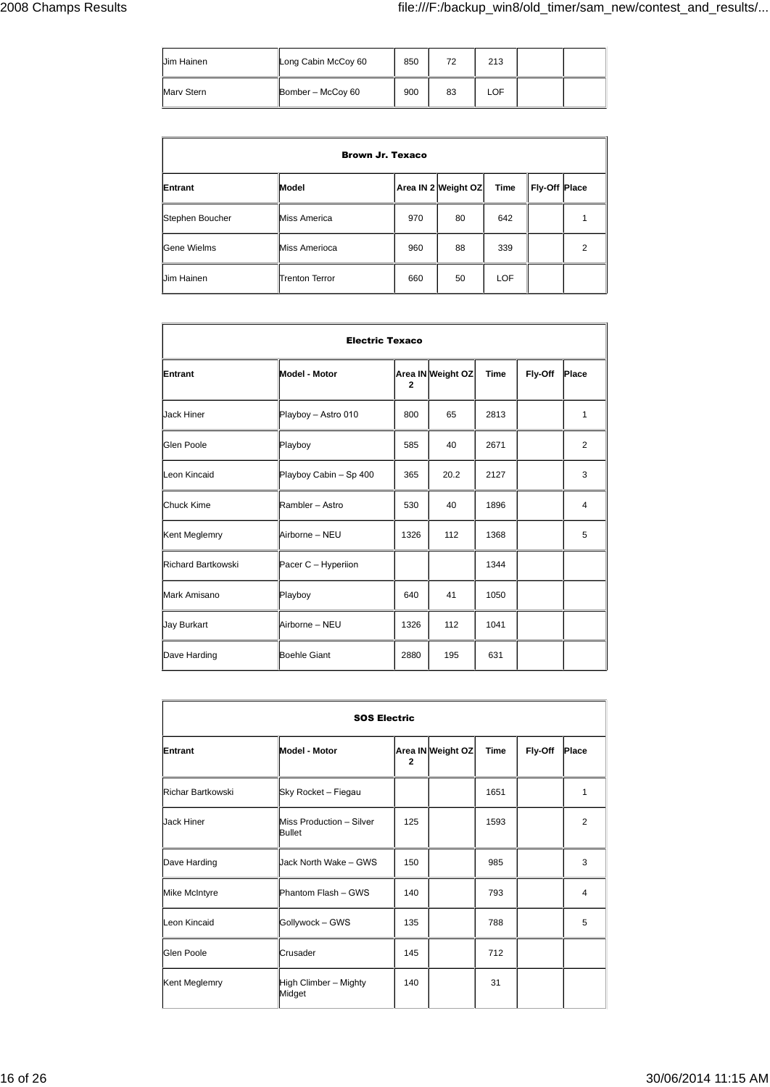| Jim Hainen | Long Cabin McCoy 60 | 850 | 72 | 213        |  |
|------------|---------------------|-----|----|------------|--|
| Marv Stern | Bomber - McCoy 60   | 900 | 83 | <b>LOF</b> |  |

| <b>Brown Jr. Texaco</b> |                       |     |                     |            |               |                |
|-------------------------|-----------------------|-----|---------------------|------------|---------------|----------------|
| Entrant                 | Model                 |     | Area IN 2 Weight OZ | Time       | Fly-Off Place |                |
| Stephen Boucher         | <b>Miss America</b>   | 970 | 80                  | 642        |               |                |
| Gene Wielms             | <b>Miss Amerioca</b>  | 960 | 88                  | 339        |               | $\overline{2}$ |
| Jim Hainen              | <b>Trenton Terror</b> | 660 | 50                  | <b>LOF</b> |               |                |

| <b>Electric Texaco</b> |                        |              |                   |             |         |                |  |  |
|------------------------|------------------------|--------------|-------------------|-------------|---------|----------------|--|--|
| Entrant                | <b>Model - Motor</b>   | $\mathbf{2}$ | Area IN Weight OZ | <b>Time</b> | Fly-Off | Place          |  |  |
| <b>Jack Hiner</b>      | Playboy - Astro 010    | 800          | 65                | 2813        |         | 1              |  |  |
| Glen Poole             | Playboy                | 585          | 40                | 2671        |         | 2              |  |  |
| Leon Kincaid           | Playboy Cabin - Sp 400 | 365          | 20.2              | 2127        |         | 3              |  |  |
| Chuck Kime             | Rambler - Astro        | 530          | 40                | 1896        |         | $\overline{4}$ |  |  |
| Kent Meglemry          | Airborne - NEU         | 1326         | 112               | 1368        |         | 5              |  |  |
| Richard Bartkowski     | Pacer C - Hyperiion    |              |                   | 1344        |         |                |  |  |
| Mark Amisano           | Playboy                | 640          | 41                | 1050        |         |                |  |  |
| Jay Burkart            | Airborne - NEU         | 1326         | 112               | 1041        |         |                |  |  |
| Dave Harding           | <b>Boehle Giant</b>    | 2880         | 195               | 631         |         |                |  |  |

| <b>SOS Electric</b> |                                    |                |                   |             |         |                |  |  |
|---------------------|------------------------------------|----------------|-------------------|-------------|---------|----------------|--|--|
| Entrant             | <b>Model - Motor</b>               | $\overline{2}$ | Area IN Weight OZ | <b>Time</b> | Fly-Off | Place          |  |  |
| Richar Bartkowski   | Sky Rocket - Fiegau                |                |                   | 1651        |         | 1              |  |  |
| Jack Hiner          | Miss Production - Silver<br>Bullet | 125            |                   | 1593        |         | 2              |  |  |
| Dave Harding        | <b>Jack North Wake - GWS</b>       | 150            |                   | 985         |         | 3              |  |  |
| Mike McIntyre       | Phantom Flash - GWS                | 140            |                   | 793         |         | $\overline{4}$ |  |  |
| Leon Kincaid        | Gollywock - GWS                    | 135            |                   | 788         |         | 5              |  |  |
| Glen Poole          | Crusader                           | 145            |                   | 712         |         |                |  |  |
| Kent Meglemry       | High Climber - Mighty<br>Midget    | 140            |                   | 31          |         |                |  |  |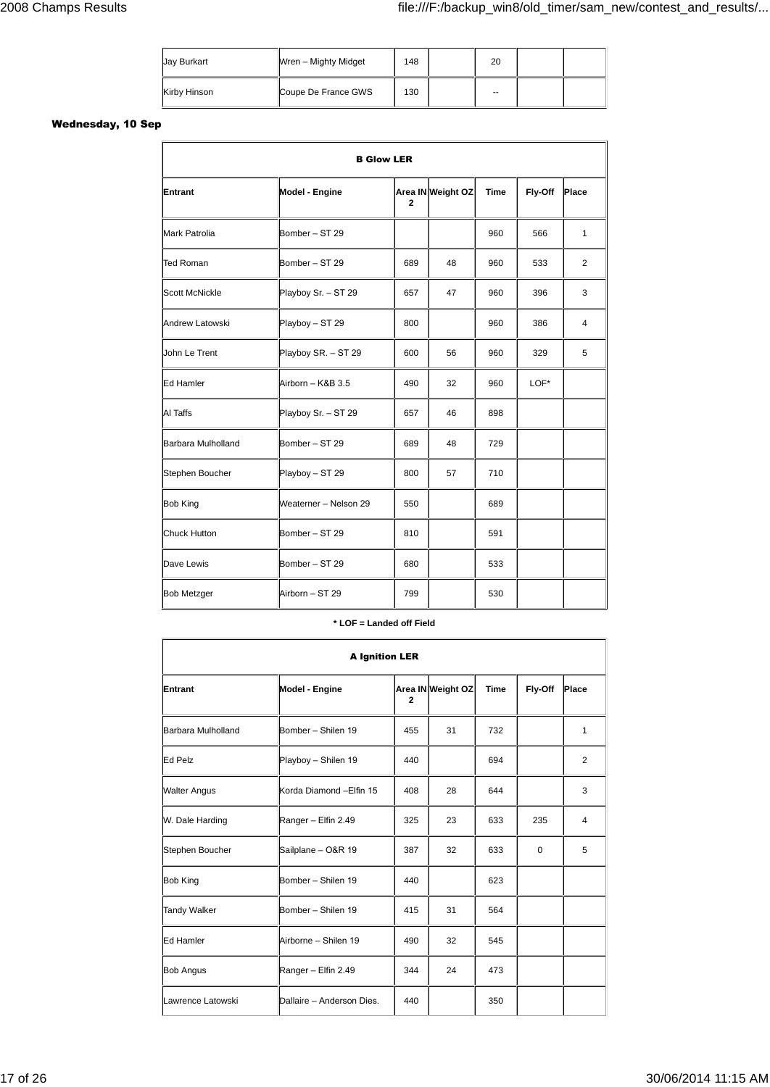| Jay Burkart  | Wren - Mighty Midget | 148 | 20     |  |
|--------------|----------------------|-----|--------|--|
| Kirby Hinson | Coupe De France GWS  | 130 | $\sim$ |  |

### **Wednesday, 10 Sep**

| <b>B Glow LER</b>     |                       |              |                   |      |         |              |  |  |
|-----------------------|-----------------------|--------------|-------------------|------|---------|--------------|--|--|
| Entrant               | Model - Engine        | $\mathbf{2}$ | Area IN Weight OZ | Time | Fly-Off | Place        |  |  |
| <b>Mark Patrolia</b>  | Bomber - ST 29        |              |                   | 960  | 566     | $\mathbf{1}$ |  |  |
| <b>Ted Roman</b>      | Bomber - ST 29        | 689          | 48                | 960  | 533     | 2            |  |  |
| <b>Scott McNickle</b> | Playboy Sr. - ST 29   | 657          | 47                | 960  | 396     | 3            |  |  |
| Andrew Latowski       | Playboy - ST 29       | 800          |                   | 960  | 386     | 4            |  |  |
| John Le Trent         | Playboy SR. - ST 29   | 600          | 56                | 960  | 329     | 5            |  |  |
| Ed Hamler             | Airborn - K&B 3.5     | 490          | 32                | 960  | LOF*    |              |  |  |
| AI Taffs              | Playboy Sr. - ST 29   | 657          | 46                | 898  |         |              |  |  |
| Barbara Mulholland    | Bomber - ST 29        | 689          | 48                | 729  |         |              |  |  |
| Stephen Boucher       | Playboy - ST 29       | 800          | 57                | 710  |         |              |  |  |
| <b>Bob King</b>       | Weaterner - Nelson 29 | 550          |                   | 689  |         |              |  |  |
| <b>Chuck Hutton</b>   | Bomber - ST 29        | 810          |                   | 591  |         |              |  |  |
| Dave Lewis            | Bomber - ST 29        | 680          |                   | 533  |         |              |  |  |
| <b>Bob Metzger</b>    | Airborn - ST 29       | 799          |                   | 530  |         |              |  |  |

#### **\* LOF = Landed off Field**

| <b>A Ignition LER</b> |                           |              |                   |             |             |       |  |  |
|-----------------------|---------------------------|--------------|-------------------|-------------|-------------|-------|--|--|
| Entrant               | Model - Engine            | $\mathbf{2}$ | Area IN Weight OZ | <b>Time</b> | Fly-Off     | Place |  |  |
| Barbara Mulholland    | Bomber - Shilen 19        | 455          | 31                | 732         |             | 1     |  |  |
| Ed Pelz               | Playboy - Shilen 19       | 440          |                   | 694         |             | 2     |  |  |
| <b>Walter Angus</b>   | Korda Diamond - Elfin 15  | 408          | 28                | 644         |             | 3     |  |  |
| W. Dale Harding       | Ranger - Elfin 2.49       | 325          | 23                | 633         | 235         | 4     |  |  |
| Stephen Boucher       | Sailplane - O&R 19        | 387          | 32                | 633         | $\mathbf 0$ | 5     |  |  |
| <b>Bob King</b>       | Bomber - Shilen 19        | 440          |                   | 623         |             |       |  |  |
| <b>Tandy Walker</b>   | Bomber - Shilen 19        | 415          | 31                | 564         |             |       |  |  |
| Ed Hamler             | Airborne - Shilen 19      | 490          | 32                | 545         |             |       |  |  |
| <b>Bob Angus</b>      | Ranger - Elfin 2.49       | 344          | 24                | 473         |             |       |  |  |
| Lawrence Latowski     | Dallaire - Anderson Dies. | 440          |                   | 350         |             |       |  |  |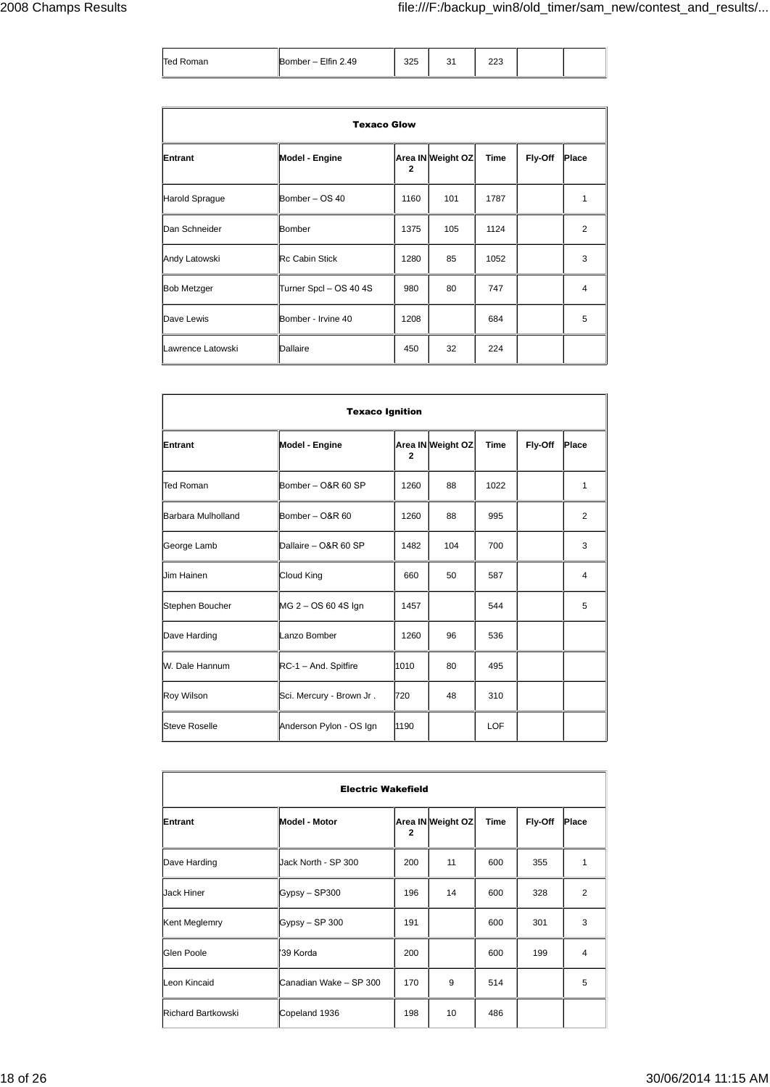| Ted Roman | Bomber - Elfin 2.49 | 325 | 31 | 223 |  |
|-----------|---------------------|-----|----|-----|--|

| <b>Texaco Glow</b> |                        |              |                   |      |         |                |  |
|--------------------|------------------------|--------------|-------------------|------|---------|----------------|--|
| Entrant            | Model - Engine         | $\mathbf{2}$ | Area IN Weight OZ | Time | Fly-Off | Place          |  |
| Harold Sprague     | Bomber - OS 40         | 1160         | 101               | 1787 |         | 1              |  |
| Dan Schneider      | Bomber                 | 1375         | 105               | 1124 |         | 2              |  |
| Andy Latowski      | <b>Rc Cabin Stick</b>  | 1280         | 85                | 1052 |         | 3              |  |
| <b>Bob Metzger</b> | Turner Spcl - OS 40 4S | 980          | 80                | 747  |         | $\overline{4}$ |  |
| Dave Lewis         | Bomber - Irvine 40     | 1208         |                   | 684  |         | 5              |  |
| Lawrence Latowski  | Dallaire               | 450          | 32                | 224  |         |                |  |

| <b>Texaco Ignition</b> |                          |              |                   |             |         |       |  |  |
|------------------------|--------------------------|--------------|-------------------|-------------|---------|-------|--|--|
| Entrant                | Model - Engine           | $\mathbf{2}$ | Area IN Weight OZ | <b>Time</b> | Fly-Off | Place |  |  |
| <b>Ted Roman</b>       | Bomber - O&R 60 SP       | 1260         | 88                | 1022        |         | 1     |  |  |
| Barbara Mulholland     | Bomber - O&R 60          | 1260         | 88                | 995         |         | 2     |  |  |
| George Lamb            | Dallaire - O&R 60 SP     | 1482         | 104               | 700         |         | 3     |  |  |
| <b>Jim Hainen</b>      | Cloud King               | 660          | 50                | 587         |         | 4     |  |  |
| Stephen Boucher        | MG 2 - OS 60 4S Ign      | 1457         |                   | 544         |         | 5     |  |  |
| Dave Harding           | Lanzo Bomber             | 1260         | 96                | 536         |         |       |  |  |
| W. Dale Hannum         | RC-1 - And. Spitfire     | 1010         | 80                | 495         |         |       |  |  |
| Roy Wilson             | Sci. Mercury - Brown Jr. | 720          | 48                | 310         |         |       |  |  |
| <b>Steve Roselle</b>   | Anderson Pylon - OS Ign  | 1190         |                   | <b>LOF</b>  |         |       |  |  |

| <b>Electric Wakefield</b> |                        |              |                   |      |         |                |  |
|---------------------------|------------------------|--------------|-------------------|------|---------|----------------|--|
| Entrant                   | Model - Motor          | $\mathbf{2}$ | Area IN Weight OZ | Time | Fly-Off | Place          |  |
| Dave Harding              | Uack North - SP 300    | 200          | 11                | 600  | 355     | 1              |  |
| Jack Hiner                | Gypsy - SP300          | 196          | 14                | 600  | 328     | $\overline{2}$ |  |
| Kent Meglemry             | Gypsy - SP 300         | 191          |                   | 600  | 301     | 3              |  |
| Glen Poole                | '39 Korda              | 200          |                   | 600  | 199     | $\overline{4}$ |  |
| Leon Kincaid              | Canadian Wake - SP 300 | 170          | 9                 | 514  |         | 5              |  |
| Richard Bartkowski        | Copeland 1936          | 198          | 10                | 486  |         |                |  |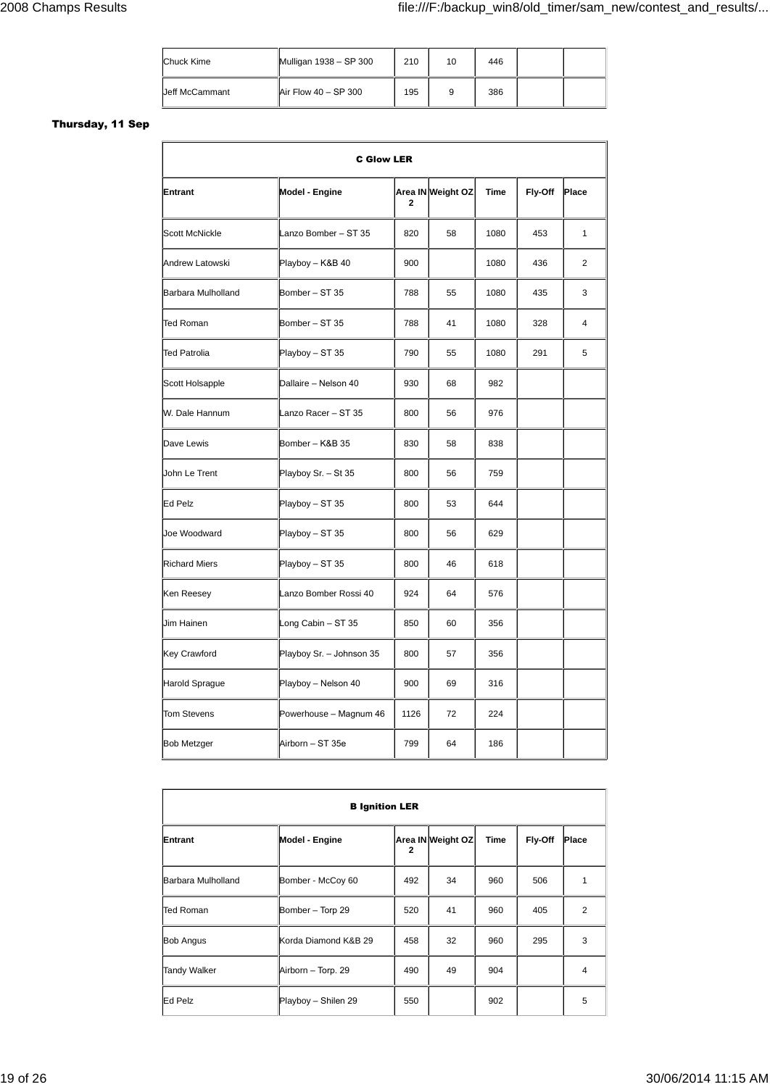| Chuck Kime     | Mulligan 1938 - SP 300 | 210 | 10 | 446 |  |
|----------------|------------------------|-----|----|-----|--|
| Jeff McCammant | Air Flow 40 - SP 300   | 195 | 9  | 386 |  |

### **Thursday, 11 Sep**

| <b>C Glow LER</b>     |                          |              |                   |      |         |              |  |  |  |
|-----------------------|--------------------------|--------------|-------------------|------|---------|--------------|--|--|--|
| Entrant               | Model - Engine           | $\mathbf{2}$ | Area IN Weight OZ | Time | Fly-Off | Place        |  |  |  |
| <b>Scott McNickle</b> | Lanzo Bomber - ST 35     | 820          | 58                | 1080 | 453     | $\mathbf{1}$ |  |  |  |
| Andrew Latowski       | Playboy - K&B 40         | 900          |                   | 1080 | 436     | 2            |  |  |  |
| Barbara Mulholland    | Bomber - ST 35           | 788          | 55                | 1080 | 435     | 3            |  |  |  |
| <b>Ted Roman</b>      | Bomber - ST 35           | 788          | 41                | 1080 | 328     | 4            |  |  |  |
| Ted Patrolia          | Playboy - ST 35          | 790          | 55                | 1080 | 291     | 5            |  |  |  |
| Scott Holsapple       | Dallaire - Nelson 40     | 930          | 68                | 982  |         |              |  |  |  |
| W. Dale Hannum        | Lanzo Racer - ST 35      | 800          | 56                | 976  |         |              |  |  |  |
| Dave Lewis            | Bomber - K&B 35          | 830          | 58                | 838  |         |              |  |  |  |
| John Le Trent         | Playboy Sr. - St 35      | 800          | 56                | 759  |         |              |  |  |  |
| Ed Pelz               | Playboy - ST 35          | 800          | 53                | 644  |         |              |  |  |  |
| Joe Woodward          | Playboy - ST 35          | 800          | 56                | 629  |         |              |  |  |  |
| <b>Richard Miers</b>  | Playboy - ST 35          | 800          | 46                | 618  |         |              |  |  |  |
| Ken Reesey            | Lanzo Bomber Rossi 40    | 924          | 64                | 576  |         |              |  |  |  |
| Jim Hainen            | Long Cabin - ST 35       | 850          | 60                | 356  |         |              |  |  |  |
| <b>Key Crawford</b>   | Playboy Sr. - Johnson 35 | 800          | 57                | 356  |         |              |  |  |  |
| <b>Harold Sprague</b> | Playboy - Nelson 40      | 900          | 69                | 316  |         |              |  |  |  |
| <b>Tom Stevens</b>    | Powerhouse - Magnum 46   | 1126         | 72                | 224  |         |              |  |  |  |
| <b>Bob Metzger</b>    | Airborn - ST 35e         | 799          | 64                | 186  |         |              |  |  |  |

| <b>B</b> Ignition LER |                      |                         |                   |      |         |                |  |  |
|-----------------------|----------------------|-------------------------|-------------------|------|---------|----------------|--|--|
| Entrant               | Model - Engine       | $\overline{\mathbf{2}}$ | Area IN Weight OZ | Time | Fly-Off | Place          |  |  |
| Barbara Mulholland    | Bomber - McCoy 60    | 492                     | 34                | 960  | 506     | 1              |  |  |
| Ted Roman             | Bomber - Torp 29     | 520                     | 41                | 960  | 405     | $\overline{2}$ |  |  |
| <b>Bob Angus</b>      | Korda Diamond K&B 29 | 458                     | 32                | 960  | 295     | 3              |  |  |
| <b>Tandy Walker</b>   | Airborn - Torp. 29   | 490                     | 49                | 904  |         | 4              |  |  |
| Ed Pelz               | Playboy - Shilen 29  | 550                     |                   | 902  |         | 5              |  |  |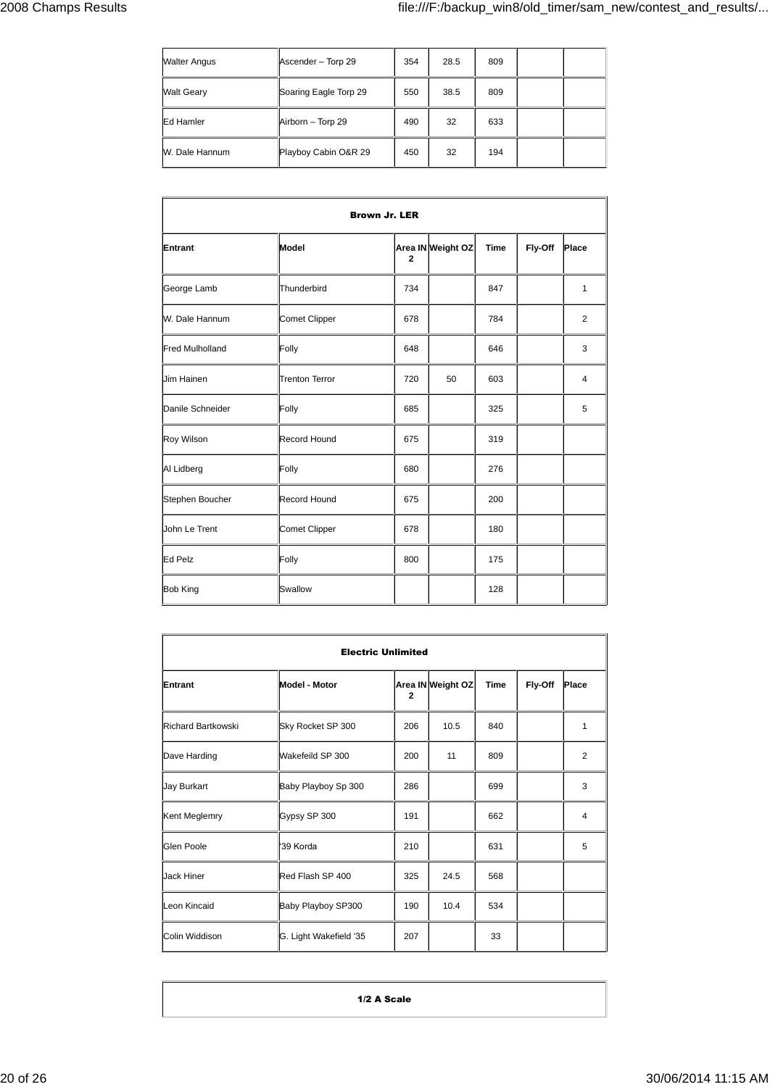| <b>Walter Angus</b> | Ascender - Torp 29    | 354 | 28.5 | 809 |  |
|---------------------|-----------------------|-----|------|-----|--|
| <b>Walt Geary</b>   | Soaring Eagle Torp 29 | 550 | 38.5 | 809 |  |
| Ed Hamler           | Airborn - Torp 29     | 490 | 32   | 633 |  |
| W. Dale Hannum      | Playboy Cabin O&R 29  | 450 | 32   | 194 |  |

| <b>Brown Jr. LER</b>   |                     |             |                   |             |         |                |  |  |
|------------------------|---------------------|-------------|-------------------|-------------|---------|----------------|--|--|
| Entrant                | Model               | $\mathbf 2$ | Area IN Weight OZ | <b>Time</b> | Fly-Off | Place          |  |  |
| George Lamb            | Thunderbird         | 734         |                   | 847         |         | $\mathbf{1}$   |  |  |
| W. Dale Hannum         | Comet Clipper       | 678         |                   | 784         |         | 2              |  |  |
| <b>Fred Mulholland</b> | Folly               | 648         |                   | 646         |         | 3              |  |  |
| <b>Jim Hainen</b>      | Trenton Terror      | 720         | 50                | 603         |         | $\overline{4}$ |  |  |
| Danile Schneider       | Folly               | 685         |                   | 325         |         | 5              |  |  |
| Roy Wilson             | Record Hound        | 675         |                   | 319         |         |                |  |  |
| Al Lidberg             | Folly               | 680         |                   | 276         |         |                |  |  |
| Stephen Boucher        | <b>Record Hound</b> | 675         |                   | 200         |         |                |  |  |
| <b>John Le Trent</b>   | Comet Clipper       | 678         |                   | 180         |         |                |  |  |
| Ed Pelz                | Folly               | 800         |                   | 175         |         |                |  |  |
| <b>Bob King</b>        | Swallow             |             |                   | 128         |         |                |  |  |

| <b>Electric Unlimited</b> |                        |                |                   |             |         |                |  |  |
|---------------------------|------------------------|----------------|-------------------|-------------|---------|----------------|--|--|
| Entrant                   | <b>Model - Motor</b>   | $\overline{2}$ | Area IN Weight OZ | <b>Time</b> | Fly-Off | Place          |  |  |
| <b>Richard Bartkowski</b> | Sky Rocket SP 300      | 206            | 10.5              | 840         |         | 1              |  |  |
| Dave Harding              | Wakefeild SP 300       | 200            | 11                | 809         |         | $\overline{2}$ |  |  |
| Jay Burkart               | Baby Playboy Sp 300    | 286            |                   | 699         |         | 3              |  |  |
| Kent Meglemry             | Gypsy SP 300           | 191            |                   | 662         |         | $\overline{4}$ |  |  |
| Glen Poole                | '39 Korda              | 210            |                   | 631         |         | 5              |  |  |
| <b>Jack Hiner</b>         | Red Flash SP 400       | 325            | 24.5              | 568         |         |                |  |  |
| Leon Kincaid              | Baby Playboy SP300     | 190            | 10.4              | 534         |         |                |  |  |
| Colin Widdison            | G. Light Wakefield '35 | 207            |                   | 33          |         |                |  |  |

**1/2 A Scale**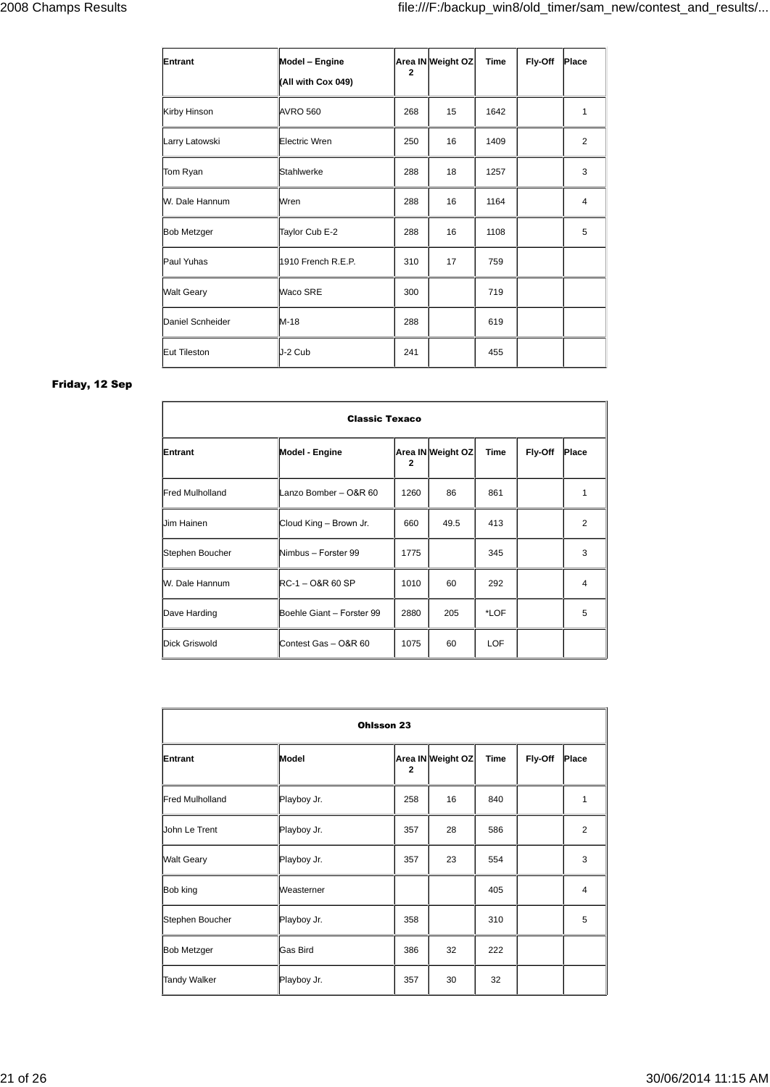| Entrant            | Model - Engine<br>(All with Cox 049) | $\mathbf{2}$ | Area IN Weight OZ | <b>Time</b> | Fly-Off | Place |
|--------------------|--------------------------------------|--------------|-------------------|-------------|---------|-------|
| Kirby Hinson       | <b>AVRO 560</b>                      | 268          | 15                | 1642        |         | 1     |
| Larry Latowski     | Electric Wren                        | 250          | 16                | 1409        |         | 2     |
| Tom Ryan           | Stahlwerke                           | 288          | 18                | 1257        |         | 3     |
| W. Dale Hannum     | Wren                                 | 288          | 16                | 1164        |         | 4     |
| <b>Bob Metzger</b> | Taylor Cub E-2                       | 288          | 16                | 1108        |         | 5     |
| Paul Yuhas         | 1910 French R.E.P.                   | 310          | 17                | 759         |         |       |
| <b>Walt Geary</b>  | Waco SRE                             | 300          |                   | 719         |         |       |
| Daniel Scnheider   | $M-18$                               | 288          |                   | 619         |         |       |
| Eut Tileston       | J-2 Cub                              | 241          |                   | 455         |         |       |

### **Friday, 12 Sep**

| <b>Classic Texaco</b>  |                           |                |                   |            |         |       |
|------------------------|---------------------------|----------------|-------------------|------------|---------|-------|
| Entrant                | Model - Engine            | $\overline{2}$ | Area IN Weight OZ | Time       | Fly-Off | Place |
| <b>Fred Mulholland</b> | Lanzo Bomber - O&R 60     | 1260           | 86                | 861        |         | 1     |
| Jim Hainen             | Cloud King - Brown Jr.    | 660            | 49.5              | 413        |         | 2     |
| Stephen Boucher        | Nimbus - Forster 99       | 1775           |                   | 345        |         | 3     |
| W. Dale Hannum         | RC-1 – O&R 60 SP          | 1010           | 60                | 292        |         | 4     |
| Dave Harding           | Boehle Giant - Forster 99 | 2880           | 205               | *LOF       |         | 5     |
| Dick Griswold          | Contest Gas - O&R 60      | 1075           | 60                | <b>LOF</b> |         |       |

| Ohlsson 23             |             |              |                   |      |         |                |
|------------------------|-------------|--------------|-------------------|------|---------|----------------|
| Entrant                | Model       | $\mathbf{2}$ | Area IN Weight OZ | Time | Fly-Off | Place          |
| <b>Fred Mulholland</b> | Playboy Jr. | 258          | 16                | 840  |         | 1              |
| John Le Trent          | Playboy Jr. | 357          | 28                | 586  |         | 2              |
| <b>Walt Geary</b>      | Playboy Jr. | 357          | 23                | 554  |         | 3              |
| Bob king               | Weasterner  |              |                   | 405  |         | $\overline{4}$ |
| Stephen Boucher        | Playboy Jr. | 358          |                   | 310  |         | 5              |
| <b>Bob Metzger</b>     | Gas Bird    | 386          | 32                | 222  |         |                |
| <b>Tandy Walker</b>    | Playboy Jr. | 357          | 30                | 32   |         |                |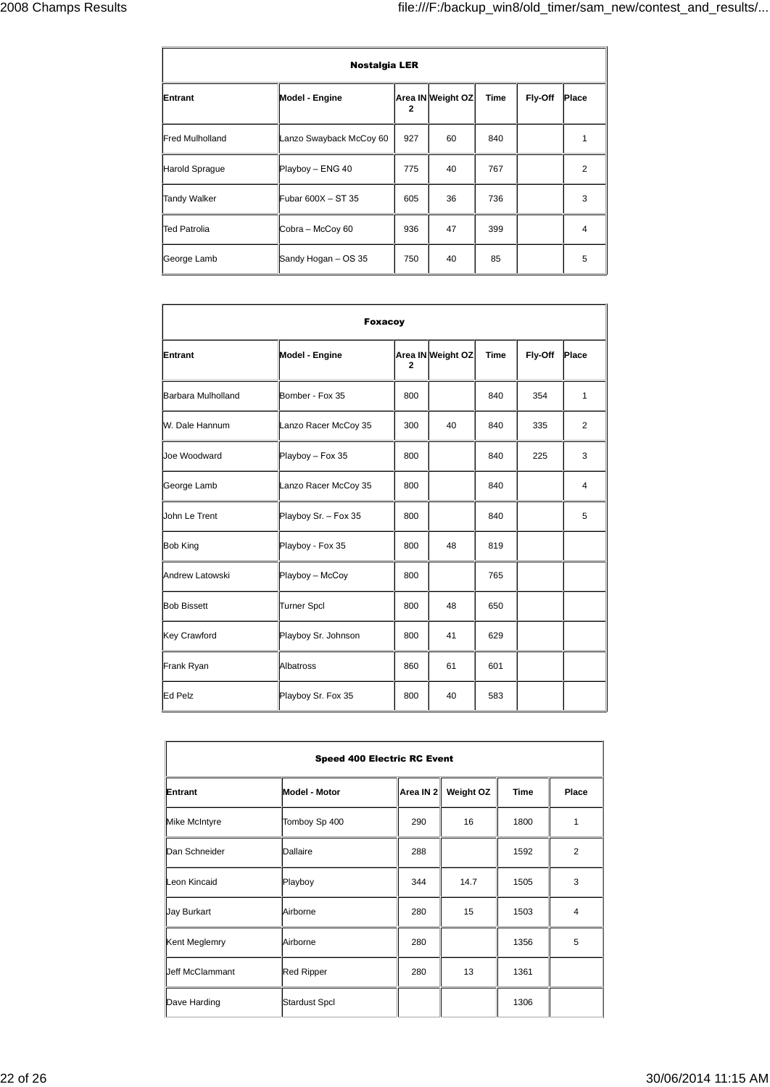| <b>Nostalgia LER</b>   |                         |              |                   |      |         |                |
|------------------------|-------------------------|--------------|-------------------|------|---------|----------------|
| Entrant                | Model - Engine          | $\mathbf{2}$ | Area IN Weight OZ | Time | Fly-Off | Place          |
| <b>Fred Mulholland</b> | Lanzo Swayback McCoy 60 | 927          | 60                | 840  |         | 1              |
| Harold Sprague         | Playboy - ENG 40        | 775          | 40                | 767  |         | $\overline{2}$ |
| <b>Tandy Walker</b>    | Fubar 600X - ST 35      | 605          | 36                | 736  |         | 3              |
| <b>Ted Patrolia</b>    | Cobra - McCoy 60        | 936          | 47                | 399  |         | $\overline{4}$ |
| George Lamb            | Sandy Hogan - OS 35     | 750          | 40                | 85   |         | 5              |

| <b>Foxacoy</b>     |                      |              |                   |             |         |       |
|--------------------|----------------------|--------------|-------------------|-------------|---------|-------|
| Entrant            | Model - Engine       | $\mathbf{2}$ | Area IN Weight OZ | <b>Time</b> | Fly-Off | Place |
| Barbara Mulholland | Bomber - Fox 35      | 800          |                   | 840         | 354     | 1     |
| W. Dale Hannum     | Lanzo Racer McCoy 35 | 300          | 40                | 840         | 335     | 2     |
| Joe Woodward       | Playboy - Fox 35     | 800          |                   | 840         | 225     | 3     |
| George Lamb        | Lanzo Racer McCoy 35 | 800          |                   | 840         |         | 4     |
| John Le Trent      | Playboy Sr. - Fox 35 | 800          |                   | 840         |         | 5     |
| <b>Bob King</b>    | Playboy - Fox 35     | 800          | 48                | 819         |         |       |
| Andrew Latowski    | Playboy - McCoy      | 800          |                   | 765         |         |       |
| <b>Bob Bissett</b> | Turner Spcl          | 800          | 48                | 650         |         |       |
| Key Crawford       | Playboy Sr. Johnson  | 800          | 41                | 629         |         |       |
| Frank Ryan         | Albatross            | 860          | 61                | 601         |         |       |
| Ed Pelz            | Playboy Sr. Fox 35   | 800          | 40                | 583         |         |       |

| <b>Speed 400 Electric RC Event</b> |                      |           |                  |             |                         |
|------------------------------------|----------------------|-----------|------------------|-------------|-------------------------|
| Entrant                            | Model - Motor        | Area IN 2 | <b>Weight OZ</b> | <b>Time</b> | Place                   |
| Mike McIntyre                      | Tomboy Sp 400        | 290       | 16               | 1800        | 1                       |
| Dan Schneider                      | Dallaire             | 288       |                  | 1592        | $\overline{2}$          |
| Leon Kincaid                       | Playboy              | 344       | 14.7             | 1505        | 3                       |
| <b>Jay Burkart</b>                 | Airborne             | 280       | 15               | 1503        | $\overline{\mathbf{4}}$ |
| Kent Meglemry                      | Airborne             | 280       |                  | 1356        | 5                       |
| <b>Jeff McClammant</b>             | <b>Red Ripper</b>    | 280       | 13               | 1361        |                         |
| Dave Harding                       | <b>Stardust Spcl</b> |           |                  | 1306        |                         |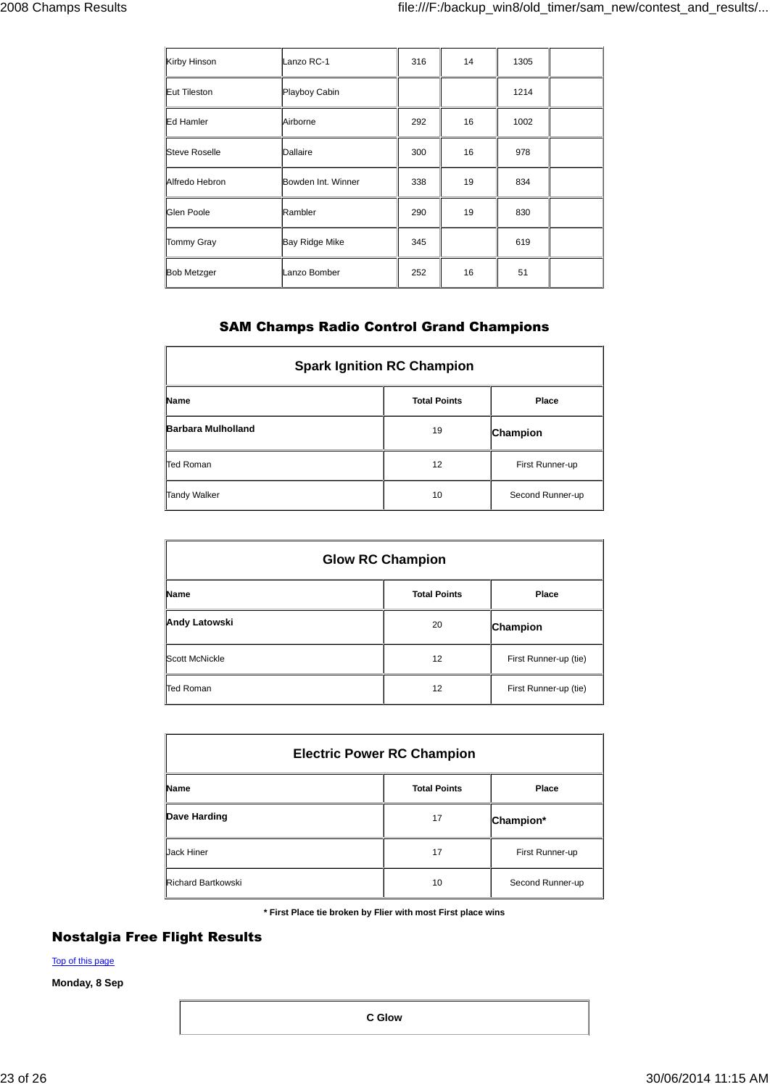| Kirby Hinson         | Lanzo RC-1            | 316 | 14 | 1305 |  |
|----------------------|-----------------------|-----|----|------|--|
| Eut Tileston         | Playboy Cabin         |     |    | 1214 |  |
| Ed Hamler            | Airborne              | 292 | 16 | 1002 |  |
| <b>Steve Roselle</b> | Dallaire              | 300 | 16 | 978  |  |
| Alfredo Hebron       | Bowden Int. Winner    | 338 | 19 | 834  |  |
| Glen Poole           | Rambler               | 290 | 19 | 830  |  |
| <b>Tommy Gray</b>    | <b>Bay Ridge Mike</b> | 345 |    | 619  |  |
| <b>Bob Metzger</b>   | Lanzo Bomber          | 252 | 16 | 51   |  |

## **SAM Champs Radio Control Grand Champions**

| <b>Spark Ignition RC Champion</b> |                     |                  |  |  |  |
|-----------------------------------|---------------------|------------------|--|--|--|
| <b>Name</b>                       | <b>Total Points</b> | Place            |  |  |  |
| <b>Barbara Mulholland</b>         | 19                  | Champion         |  |  |  |
| Ted Roman                         | 12                  | First Runner-up  |  |  |  |
| <b>Tandy Walker</b>               | 10                  | Second Runner-up |  |  |  |

| <b>Glow RC Champion</b> |                     |                       |  |  |
|-------------------------|---------------------|-----------------------|--|--|
| <b>Name</b>             | <b>Total Points</b> | Place                 |  |  |
| <b>Andy Latowski</b>    | 20                  | Champion              |  |  |
| Scott McNickle          | 12                  | First Runner-up (tie) |  |  |
| <b>Ted Roman</b>        | 12                  | First Runner-up (tie) |  |  |

| <b>Electric Power RC Champion</b> |                     |                  |  |  |  |
|-----------------------------------|---------------------|------------------|--|--|--|
| <b>Name</b>                       | <b>Total Points</b> | Place            |  |  |  |
| Dave Harding                      | 17                  | Champion*        |  |  |  |
| Jack Hiner                        | 17                  | First Runner-up  |  |  |  |
| <b>Richard Bartkowski</b>         | 10                  | Second Runner-up |  |  |  |

**\* First Place tie broken by Flier with most First place wins**

## **Nostalgia Free Flight Results**

Top of this page

**Monday, 8 Sep**

**C Glow**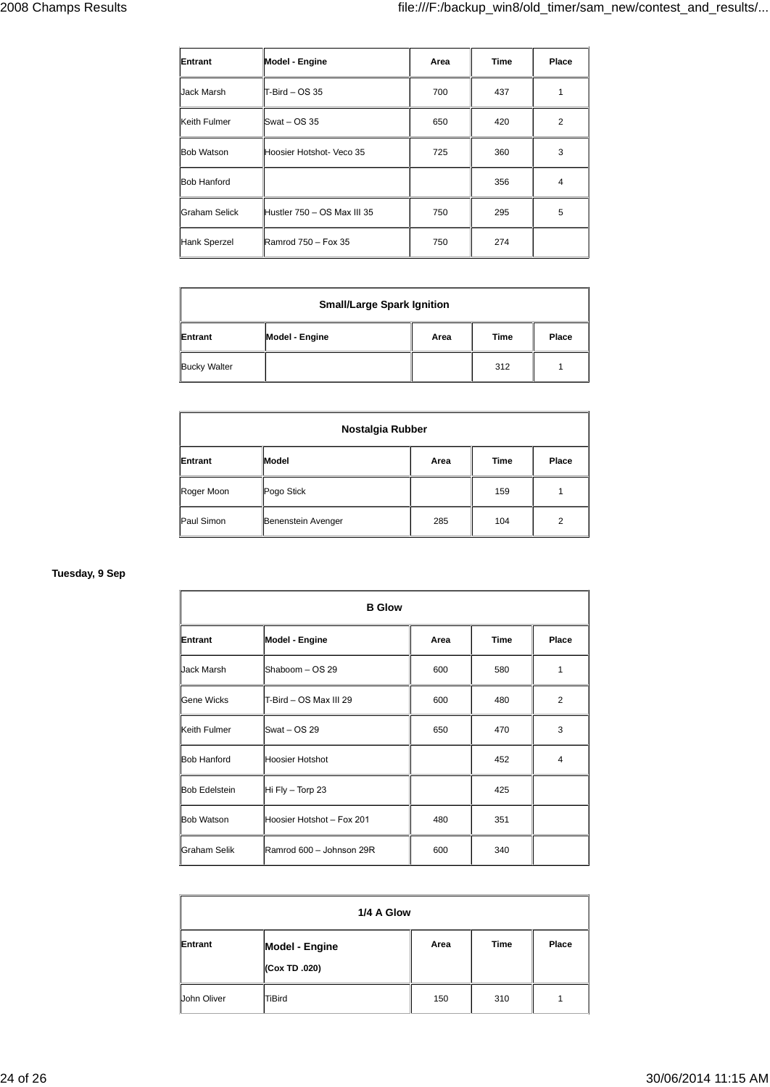| Entrant              | Model - Engine              | Area | <b>Time</b> | Place          |
|----------------------|-----------------------------|------|-------------|----------------|
| Jack Marsh           | $T-Bird - OS 35$            | 700  | 437         |                |
| Keith Fulmer         | $Swat - OS 35$              | 650  | 420         | $\overline{2}$ |
| <b>Bob Watson</b>    | Hoosier Hotshot- Veco 35    | 725  | 360         | 3              |
| <b>Bob Hanford</b>   |                             |      | 356         | 4              |
| <b>Graham Selick</b> | Hustler 750 - OS Max III 35 | 750  | 295         | 5              |
| Hank Sperzel         | Ramrod 750 - Fox 35         | 750  | 274         |                |

| <b>Small/Large Spark Ignition</b> |                |      |      |       |  |
|-----------------------------------|----------------|------|------|-------|--|
| Entrant                           | Model - Engine | Area | Time | Place |  |
| <b>Bucky Walter</b>               |                |      | 312  |       |  |

| Nostalgia Rubber |                    |      |             |                |  |
|------------------|--------------------|------|-------------|----------------|--|
| Entrant          | Model              | Area | <b>Time</b> | Place          |  |
| Roger Moon       | Pogo Stick         |      | 159         |                |  |
| Paul Simon       | Benenstein Avenger | 285  | 104         | $\overline{2}$ |  |

### **Tuesday, 9 Sep**

|                      | <b>B</b> Glow             |      |      |                |
|----------------------|---------------------------|------|------|----------------|
| Entrant              | Model - Engine            | Area | Time | Place          |
| Jack Marsh           | Shaboom - OS 29           | 600  | 580  | 1              |
| Gene Wicks           | T-Bird - OS Max III 29    | 600  | 480  | $\overline{2}$ |
| Keith Fulmer         | Swat - OS 29              | 650  | 470  | 3              |
| <b>Bob Hanford</b>   | Hoosier Hotshot           |      | 452  | 4              |
| <b>Bob Edelstein</b> | Hi Fly $-$ Torp 23        |      | 425  |                |
| <b>Bob Watson</b>    | Hoosier Hotshot - Fox 201 | 480  | 351  |                |
| Graham Selik         | Ramrod 600 - Johnson 29R  | 600  | 340  |                |

|             | 1/4 A Glow                             |      |             |       |
|-------------|----------------------------------------|------|-------------|-------|
| Entrant     | <b>Model - Engine</b><br>(Cox TD .020) | Area | <b>Time</b> | Place |
| John Oliver | TiBird                                 | 150  | 310         |       |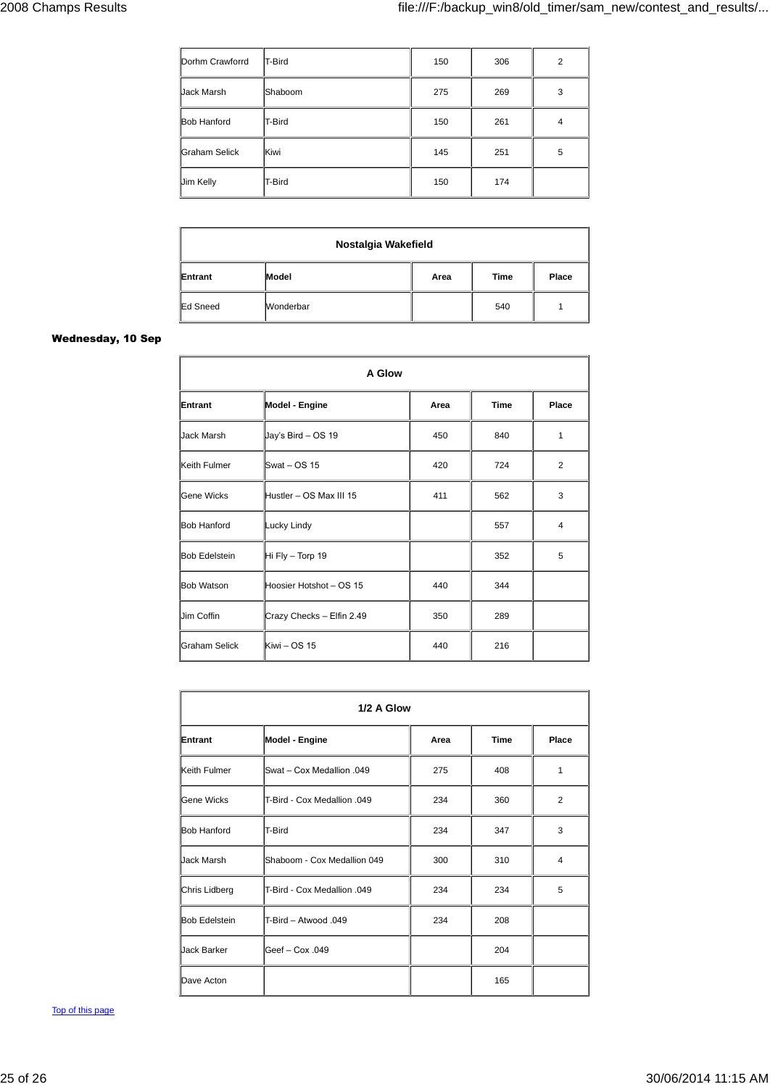| Dorhm Crawforrd    | <b>T-Bird</b> | 150 | 306 | $\overline{2}$ |
|--------------------|---------------|-----|-----|----------------|
| <b>Jack Marsh</b>  | Shaboom       | 275 | 269 | 3              |
| <b>Bob Hanford</b> | T-Bird        | 150 | 261 | 4              |
| Graham Selick      | Kiwi          | 145 | 251 | 5              |
| Jim Kelly          | T-Bird        | 150 | 174 |                |

|                 | Nostalgia Wakefield |      |      |       |
|-----------------|---------------------|------|------|-------|
| Entrant         | Model               | Area | Time | Place |
| <b>Ed Sneed</b> | Wonderbar           |      | 540  |       |

### **Wednesday, 10 Sep**

| A Glow               |                           |      |             |                         |
|----------------------|---------------------------|------|-------------|-------------------------|
| Entrant              | Model - Engine            | Area | <b>Time</b> | Place                   |
| Jack Marsh           | Jay's Bird - OS 19        | 450  | 840         | 1                       |
| Keith Fulmer         | Swat - OS 15              | 420  | 724         | 2                       |
| Gene Wicks           | Hustler - OS Max III 15   | 411  | 562         | 3                       |
| <b>Bob Hanford</b>   | Lucky Lindy               |      | 557         | $\overline{\mathbf{4}}$ |
| <b>Bob Edelstein</b> | Hi Fly - Torp 19          |      | 352         | 5                       |
| <b>Bob Watson</b>    | Hoosier Hotshot - OS 15   | 440  | 344         |                         |
| <b>Jim Coffin</b>    | Crazy Checks - Elfin 2.49 | 350  | 289         |                         |
| <b>Graham Selick</b> | Kiwi - OS 15              | 440  | 216         |                         |

| 1/2 A Glow           |                             |      |             |                |
|----------------------|-----------------------------|------|-------------|----------------|
| Entrant              | Model - Engine              | Area | <b>Time</b> | Place          |
| Keith Fulmer         | Swat - Cox Medallion .049   | 275  | 408         | 1              |
| <b>Gene Wicks</b>    | T-Bird - Cox Medallion .049 | 234  | 360         | 2              |
| <b>Bob Hanford</b>   | <b>T-Bird</b>               | 234  | 347         | 3              |
| Jack Marsh           | Shaboom - Cox Medallion 049 | 300  | 310         | $\overline{4}$ |
| Chris Lidberg        | T-Bird - Cox Medallion .049 | 234  | 234         | 5              |
| <b>Bob Edelstein</b> | T-Bird - Atwood 049         | 234  | 208         |                |
| Jack Barker          | Geef - Cox .049             |      | 204         |                |
| Dave Acton           |                             |      | 165         |                |

Top of this page